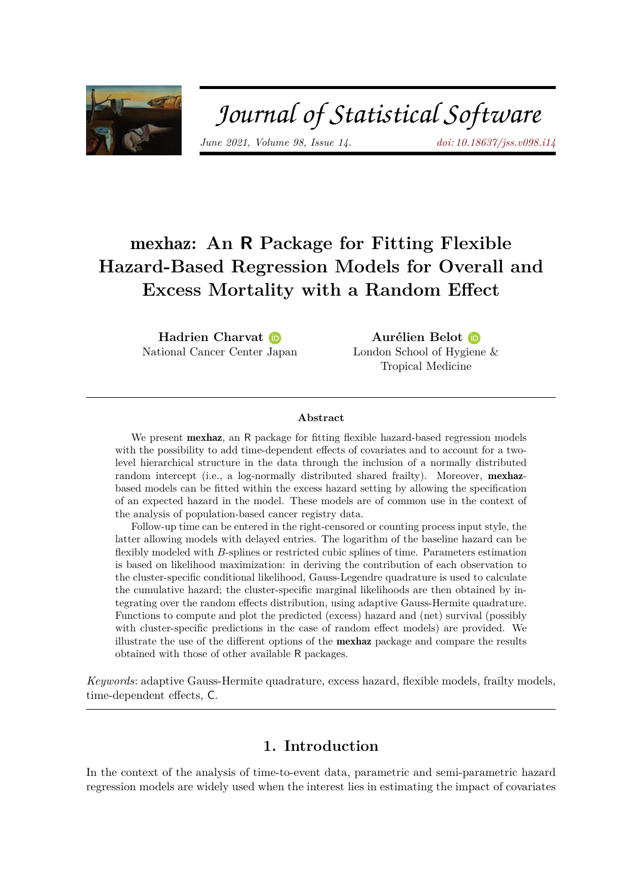

# Journal of Statistical Software

*June 2021, Volume 98, Issue 14. [doi: 10.18637/jss.v098.i14](https://doi.org/10.18637/jss.v098.i14)*

## mexhaz**: An R Package for Fitting Flexible Hazard-Based Regression Models for Overall and Excess Mortality with a Random Effect**

**Hadrien Charvat** National Cancer Center [Jap](https://orcid.org/0000-0003-3624-1394)an

**Aurélien Belot** London School of Hyg[iene](https://orcid.org/0000-0003-1410-5172) & Tropical Medicine

#### **Abstract**

We present **mexhaz**, an R package for fitting flexible hazard-based regression models with the possibility to add time-dependent effects of covariates and to account for a twolevel hierarchical structure in the data through the inclusion of a normally distributed random intercept (i.e., a log-normally distributed shared frailty). Moreover, mexhazbased models can be fitted within the excess hazard setting by allowing the specification of an expected hazard in the model. These models are of common use in the context of the analysis of population-based cancer registry data.

Follow-up time can be entered in the right-censored or counting process input style, the latter allowing models with delayed entries. The logarithm of the baseline hazard can be flexibly modeled with *B*-splines or restricted cubic splines of time. Parameters estimation is based on likelihood maximization: in deriving the contribution of each observation to the cluster-specific conditional likelihood, Gauss-Legendre quadrature is used to calculate the cumulative hazard; the cluster-specific marginal likelihoods are then obtained by integrating over the random effects distribution, using adaptive Gauss-Hermite quadrature. Functions to compute and plot the predicted (excess) hazard and (net) survival (possibly with cluster-specific predictions in the case of random effect models) are provided. We illustrate the use of the different options of the mexhaz package and compare the results obtained with those of other available R packages.

*Keywords*: adaptive Gauss-Hermite quadrature, excess hazard, flexible models, frailty models, time-dependent effects, C.

## **1. Introduction**

In the context of the analysis of time-to-event data, parametric and semi-parametric hazard regression models are widely used when the interest lies in estimating the impact of covariates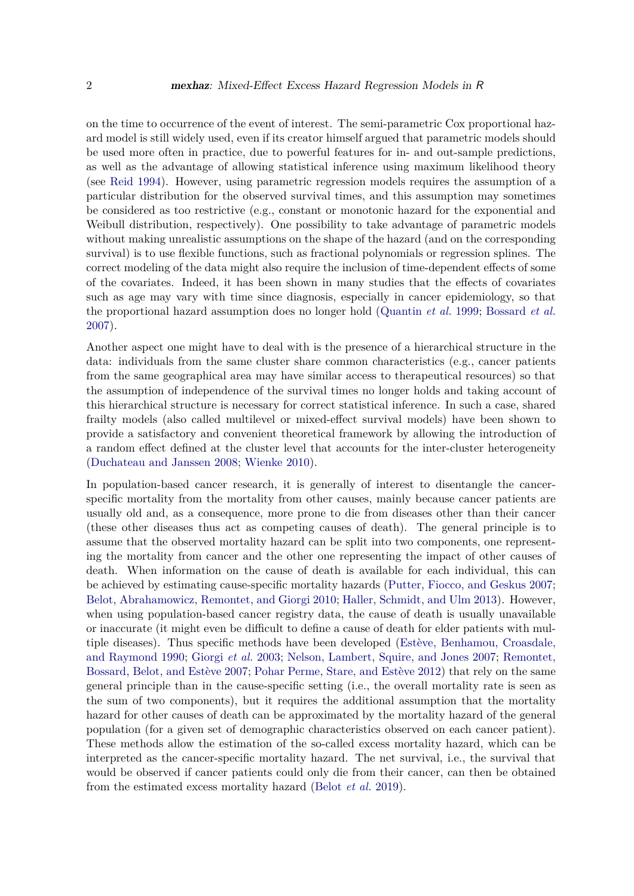on the time to occurrence of the event of interest. The semi-parametric Cox proportional hazard model is still widely used, even if its creator himself argued that parametric models should be used more often in practice, due to powerful features for in- and out-sample predictions, as well as the advantage of allowing statistical inference using maximum likelihood theory (see [Reid](#page-34-0) [1994\)](#page-34-0). However, using parametric regression models requires the assumption of a particular distribution for the observed survival times, and this assumption may sometimes be considered as too restrictive (e.g., constant or monotonic hazard for the exponential and Weibull distribution, respectively). One possibility to take advantage of parametric models without making unrealistic assumptions on the shape of the hazard (and on the corresponding survival) is to use flexible functions, such as fractional polynomials or regression splines. The correct modeling of the data might also require the inclusion of time-dependent effects of some of the covariates. Indeed, it has been shown in many studies that the effects of covariates such as age may vary with time since diagnosis, especially in cancer epidemiology, so that the proportional hazard assumption does no longer hold [\(Quantin](#page-34-1) *et al.* [1999;](#page-34-1) [Bossard](#page-31-0) *et al.* [2007\)](#page-31-0).

Another aspect one might have to deal with is the presence of a hierarchical structure in the data: individuals from the same cluster share common characteristics (e.g., cancer patients from the same geographical area may have similar access to therapeutical resources) so that the assumption of independence of the survival times no longer holds and taking account of this hierarchical structure is necessary for correct statistical inference. In such a case, shared frailty models (also called multilevel or mixed-effect survival models) have been shown to provide a satisfactory and convenient theoretical framework by allowing the introduction of a random effect defined at the cluster level that accounts for the inter-cluster heterogeneity [\(Duchateau and Janssen](#page-32-0) [2008;](#page-32-0) [Wienke](#page-34-2) [2010\)](#page-34-2).

In population-based cancer research, it is generally of interest to disentangle the cancerspecific mortality from the mortality from other causes, mainly because cancer patients are usually old and, as a consequence, more prone to die from diseases other than their cancer (these other diseases thus act as competing causes of death). The general principle is to assume that the observed mortality hazard can be split into two components, one representing the mortality from cancer and the other one representing the impact of other causes of death. When information on the cause of death is available for each individual, this can be achieved by estimating cause-specific mortality hazards [\(Putter, Fiocco, and Geskus](#page-33-0) [2007;](#page-33-0) [Belot, Abrahamowicz, Remontet, and Giorgi](#page-31-1) [2010;](#page-31-1) [Haller, Schmidt, and Ulm](#page-32-1) [2013\)](#page-32-1). However, when using population-based cancer registry data, the cause of death is usually unavailable or inaccurate (it might even be difficult to define a cause of death for elder patients with multiple diseases). Thus specific methods have been developed [\(Estève, Benhamou, Croasdale,](#page-32-2) [and Raymond](#page-32-2) [1990;](#page-32-2) [Giorgi](#page-32-3) *et al.* [2003;](#page-32-3) [Nelson, Lambert, Squire, and Jones](#page-33-1) [2007;](#page-33-1) [Remontet,](#page-34-3) [Bossard, Belot, and Estève](#page-34-3) [2007;](#page-34-3) [Pohar Perme, Stare, and Estève](#page-33-2) [2012\)](#page-33-2) that rely on the same general principle than in the cause-specific setting (i.e., the overall mortality rate is seen as the sum of two components), but it requires the additional assumption that the mortality hazard for other causes of death can be approximated by the mortality hazard of the general population (for a given set of demographic characteristics observed on each cancer patient). These methods allow the estimation of the so-called excess mortality hazard, which can be interpreted as the cancer-specific mortality hazard. The net survival, i.e., the survival that would be observed if cancer patients could only die from their cancer, can then be obtained from the estimated excess mortality hazard [\(Belot](#page-31-2) *et al.* [2019\)](#page-31-2).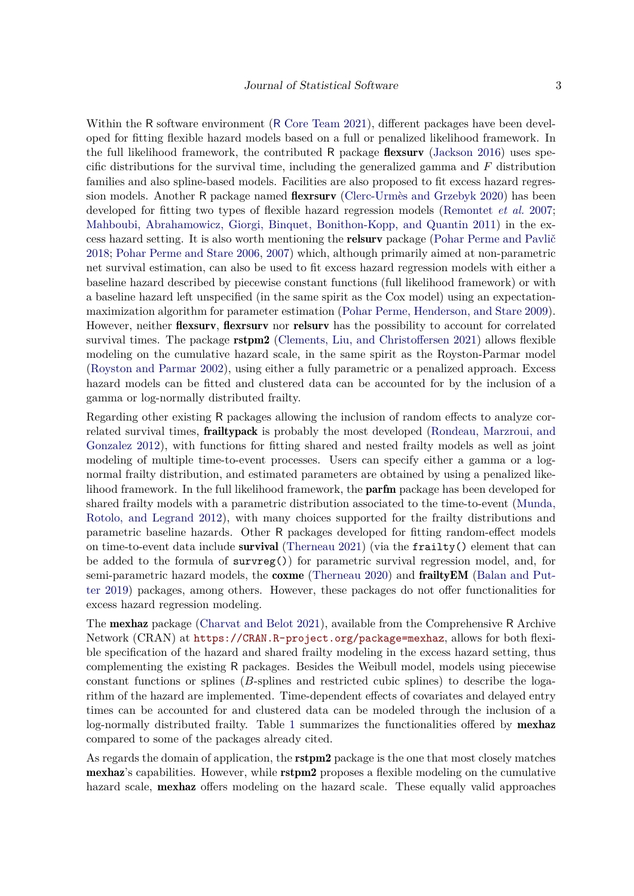Within the R software environment (R [Core Team](#page-34-4) [2021\)](#page-34-4), different packages have been developed for fitting flexible hazard models based on a full or penalized likelihood framework. In the full likelihood framework, the contributed R package flexsurv [\(Jackson](#page-32-4) [2016\)](#page-32-4) uses specific distributions for the survival time, including the generalized gamma and *F* distribution families and also spline-based models. Facilities are also proposed to fit excess hazard regression models. Another R package named **flexrsurv** [\(Clerc-Urmès and Grzebyk](#page-31-3) [2020\)](#page-31-3) has been developed for fitting two types of flexible hazard regression models [\(Remontet](#page-34-3) *et al.* [2007;](#page-34-3) [Mahboubi, Abrahamowicz, Giorgi, Binquet, Bonithon-Kopp, and Quantin](#page-33-3) [2011\)](#page-33-3) in the excess hazard setting. It is also worth mentioning the relsurv package [\(Pohar Perme and Pavlič](#page-33-4) [2018;](#page-33-4) [Pohar Perme and Stare](#page-33-5) [2006,](#page-33-5) [2007\)](#page-33-6) which, although primarily aimed at non-parametric net survival estimation, can also be used to fit excess hazard regression models with either a baseline hazard described by piecewise constant functions (full likelihood framework) or with a baseline hazard left unspecified (in the same spirit as the Cox model) using an expectationmaximization algorithm for parameter estimation [\(Pohar Perme, Henderson, and Stare](#page-33-7) [2009\)](#page-33-7). However, neither **flexsurv**, **flexrsurv** nor **relsurv** has the possibility to account for correlated survival times. The package **rstpm2** [\(Clements, Liu, and Christoffersen](#page-31-4) [2021\)](#page-31-4) allows flexible modeling on the cumulative hazard scale, in the same spirit as the Royston-Parmar model [\(Royston and Parmar](#page-34-5) [2002\)](#page-34-5), using either a fully parametric or a penalized approach. Excess hazard models can be fitted and clustered data can be accounted for by the inclusion of a gamma or log-normally distributed frailty.

Regarding other existing R packages allowing the inclusion of random effects to analyze correlated survival times, frailtypack is probably the most developed [\(Rondeau, Marzroui, and](#page-34-6) [Gonzalez](#page-34-6) [2012\)](#page-34-6), with functions for fitting shared and nested frailty models as well as joint modeling of multiple time-to-event processes. Users can specify either a gamma or a lognormal frailty distribution, and estimated parameters are obtained by using a penalized likelihood framework. In the full likelihood framework, the parfm package has been developed for shared frailty models with a parametric distribution associated to the time-to-event [\(Munda,](#page-33-8) [Rotolo, and Legrand](#page-33-8) [2012\)](#page-33-8), with many choices supported for the frailty distributions and parametric baseline hazards. Other R packages developed for fitting random-effect models on time-to-event data include **survival** [\(Therneau](#page-34-7) [2021\)](#page-34-7) (via the frailty() element that can be added to the formula of survreg()) for parametric survival regression model, and, for semi-parametric hazard models, the **coxme** [\(Therneau](#page-34-8) [2020\)](#page-34-8) and **frailty EM** [\(Balan and Put](#page-31-5)[ter](#page-31-5) [2019\)](#page-31-5) packages, among others. However, these packages do not offer functionalities for excess hazard regression modeling.

The mexhaz package [\(Charvat and Belot](#page-31-6) [2021\)](#page-31-6), available from the Comprehensive R Archive Network (CRAN) at <https://CRAN.R-project.org/package=mexhaz>, allows for both flexible specification of the hazard and shared frailty modeling in the excess hazard setting, thus complementing the existing R packages. Besides the Weibull model, models using piecewise constant functions or splines (*B*-splines and restricted cubic splines) to describe the logarithm of the hazard are implemented. Time-dependent effects of covariates and delayed entry times can be accounted for and clustered data can be modeled through the inclusion of a log-normally distributed frailty. Table [1](#page-3-0) summarizes the functionalities offered by **mexhaz** compared to some of the packages already cited.

As regards the domain of application, the **rstpm2** package is the one that most closely matches mexhaz's capabilities. However, while rstpm2 proposes a flexible modeling on the cumulative hazard scale, **mexhaz** offers modeling on the hazard scale. These equally valid approaches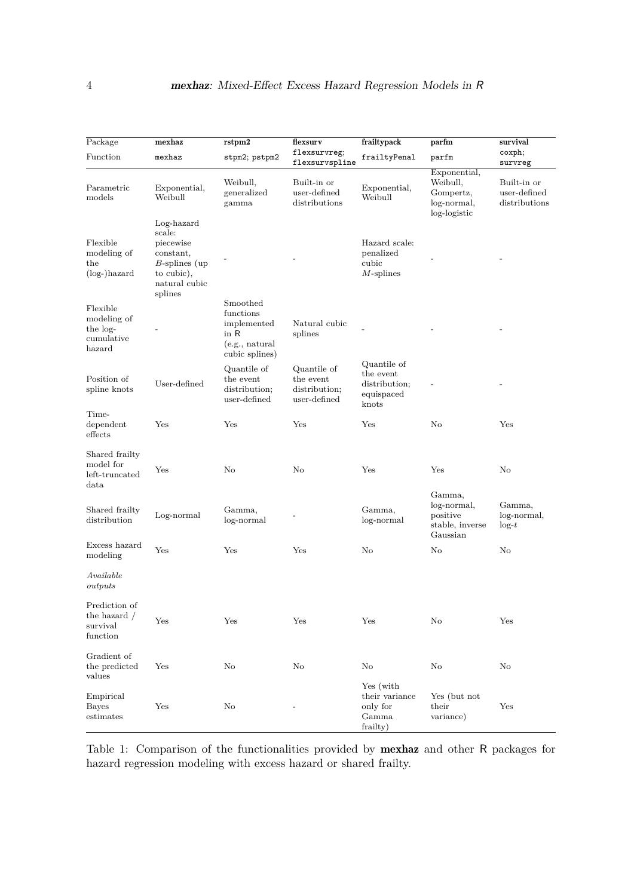| Package                                                        | mexhaz                                                                                                        | r <sub>stpm2</sub>                                                                  | flexsurv                                                       | frailtypack                                                      | parfm                                                                | survival                                                |
|----------------------------------------------------------------|---------------------------------------------------------------------------------------------------------------|-------------------------------------------------------------------------------------|----------------------------------------------------------------|------------------------------------------------------------------|----------------------------------------------------------------------|---------------------------------------------------------|
| Function                                                       | mexhaz                                                                                                        | stpm2; pstpm2                                                                       | flexsurvreg;                                                   | frailtyPenal                                                     | parfm                                                                | coxph;                                                  |
| Parametric<br>models                                           | Exponential,<br>Weibull                                                                                       | Weibull,<br>generalized<br>gamma                                                    | flexsurvspline<br>Built-in or<br>user-defined<br>distributions | Exponential,<br>Weibull                                          | Exponential,<br>Weibull,<br>Gompertz,<br>log-normal,<br>log-logistic | survreg<br>Built-in or<br>user-defined<br>distributions |
| Flexible<br>modeling of<br>$_{\rm the}$<br>$(log-)$ hazard     | Log-hazard<br>scale:<br>piecewise<br>constant,<br>$B$ -splines (up)<br>to cubic),<br>natural cubic<br>splines |                                                                                     |                                                                | Hazard scale:<br>penalized<br>cubic<br>$M$ -splines              |                                                                      |                                                         |
| Flexible<br>modeling of<br>the log-<br>cumulative<br>hazard    |                                                                                                               | Smoothed<br>functions<br>implemented<br>in $R$<br>(e.g., natural)<br>cubic splines) | Natural cubic<br>splines                                       |                                                                  |                                                                      |                                                         |
| Position of<br>spline knots                                    | User-defined                                                                                                  | Quantile of<br>the event<br>distribution;<br>user-defined                           | Quantile of<br>the event<br>distribution;<br>user-defined      | Quantile of<br>the event<br>distribution;<br>equispaced<br>knots |                                                                      |                                                         |
| Time-<br>dependent<br>effects                                  | Yes                                                                                                           | Yes                                                                                 | Yes                                                            | Yes                                                              | No                                                                   | Yes                                                     |
| Shared frailty<br>model for<br>left-truncated<br>$_{\rm data}$ | Yes                                                                                                           | No                                                                                  | No                                                             | Yes                                                              | Yes                                                                  | No                                                      |
| Shared frailty<br>distribution                                 | Log-normal                                                                                                    | Gamma,<br>log-normal                                                                |                                                                | Gamma,<br>log-normal                                             | Gamma,<br>log-normal,<br>positive<br>stable, inverse<br>Gaussian     | Gamma,<br>log-normal,<br>$\log-t$                       |
| Excess hazard<br>modeling                                      | Yes                                                                                                           | Yes                                                                                 | Yes                                                            | No                                                               | No                                                                   | No                                                      |
| Available<br>outputs                                           |                                                                                                               |                                                                                     |                                                                |                                                                  |                                                                      |                                                         |
| Prediction of<br>the hazard $/$<br>survival<br>function        | Yes                                                                                                           | Yes                                                                                 | Yes                                                            | Yes                                                              | No                                                                   | Yes                                                     |
| Gradient of<br>the predicted<br>values                         | Yes                                                                                                           | No                                                                                  | No                                                             | No                                                               | No                                                                   | No                                                      |
| Empirical<br><b>Bayes</b><br>estimates                         | Yes                                                                                                           | No                                                                                  |                                                                | Yes (with<br>their variance<br>only for<br>Gamma<br>frailty)     | Yes (but not<br>their<br>variance)                                   | $_{\rm Yes}$                                            |

<span id="page-3-0"></span>Table 1: Comparison of the functionalities provided by mexhaz and other R packages for hazard regression modeling with excess hazard or shared frailty.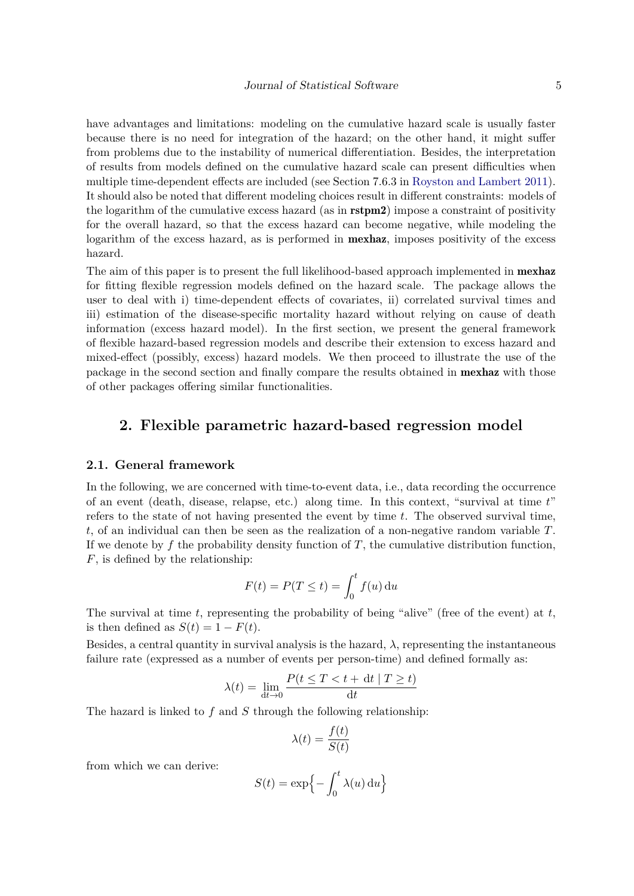have advantages and limitations: modeling on the cumulative hazard scale is usually faster because there is no need for integration of the hazard; on the other hand, it might suffer from problems due to the instability of numerical differentiation. Besides, the interpretation of results from models defined on the cumulative hazard scale can present difficulties when multiple time-dependent effects are included (see Section 7.6.3 in [Royston and Lambert](#page-34-9) [2011\)](#page-34-9). It should also be noted that different modeling choices result in different constraints: models of the logarithm of the cumulative excess hazard (as in rstpm2) impose a constraint of positivity for the overall hazard, so that the excess hazard can become negative, while modeling the logarithm of the excess hazard, as is performed in **mexhaz**, imposes positivity of the excess hazard.

The aim of this paper is to present the full likelihood-based approach implemented in **mexhaz** for fitting flexible regression models defined on the hazard scale. The package allows the user to deal with i) time-dependent effects of covariates, ii) correlated survival times and iii) estimation of the disease-specific mortality hazard without relying on cause of death information (excess hazard model). In the first section, we present the general framework of flexible hazard-based regression models and describe their extension to excess hazard and mixed-effect (possibly, excess) hazard models. We then proceed to illustrate the use of the package in the second section and finally compare the results obtained in mexhaz with those of other packages offering similar functionalities.

## **2. Flexible parametric hazard-based regression model**

#### **2.1. General framework**

In the following, we are concerned with time-to-event data, i.e., data recording the occurrence of an event (death, disease, relapse, etc.) along time. In this context, "survival at time *t*" refers to the state of not having presented the event by time *t*. The observed survival time, *t*, of an individual can then be seen as the realization of a non-negative random variable *T*. If we denote by  $f$  the probability density function of  $T$ , the cumulative distribution function, *F*, is defined by the relationship:

$$
F(t) = P(T \le t) = \int_0^t f(u) \, \mathrm{d}u
$$

The survival at time *t*, representing the probability of being "alive" (free of the event) at *t*, is then defined as  $S(t) = 1 - F(t)$ .

Besides, a central quantity in survival analysis is the hazard,  $\lambda$ , representing the instantaneous failure rate (expressed as a number of events per person-time) and defined formally as:

$$
\lambda(t) = \lim_{dt \to 0} \frac{P(t \le T < t + dt \mid T \ge t)}{dt}
$$

The hazard is linked to *f* and *S* through the following relationship:

$$
\lambda(t) = \frac{f(t)}{S(t)}
$$

from which we can derive:

$$
S(t) = \exp\left\{-\int_0^t \lambda(u) \, \mathrm{d}u\right\}
$$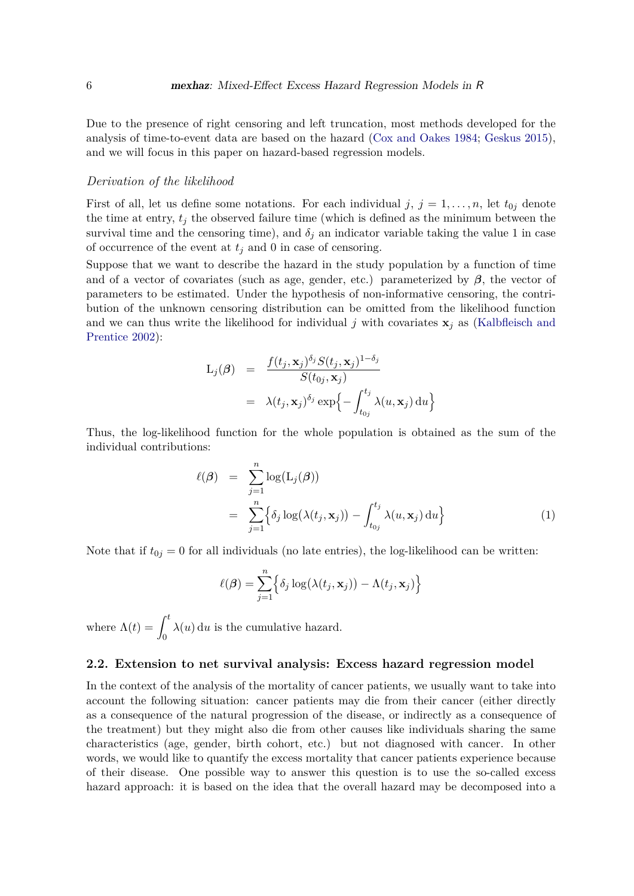Due to the presence of right censoring and left truncation, most methods developed for the analysis of time-to-event data are based on the hazard [\(Cox and Oakes](#page-31-7) [1984;](#page-31-7) [Geskus](#page-32-5) [2015\)](#page-32-5), and we will focus in this paper on hazard-based regression models.

#### *Derivation of the likelihood*

First of all, let us define some notations. For each individual  $j, j = 1, \ldots, n$ , let  $t_{0j}$  denote the time at entry,  $t_j$  the observed failure time (which is defined as the minimum between the survival time and the censoring time), and  $\delta_j$  an indicator variable taking the value 1 in case of occurrence of the event at  $t_i$  and 0 in case of censoring.

Suppose that we want to describe the hazard in the study population by a function of time and of a vector of covariates (such as age, gender, etc.) parameterized by  $\beta$ , the vector of parameters to be estimated. Under the hypothesis of non-informative censoring, the contribution of the unknown censoring distribution can be omitted from the likelihood function and we can thus write the likelihood for individual  $j$  with covariates  $\mathbf{x}_j$  as [\(Kalbfleisch and](#page-32-6) [Prentice](#page-32-6) [2002\)](#page-32-6):

$$
L_j(\boldsymbol{\beta}) = \frac{f(t_j, \mathbf{x}_j)^{\delta_j} S(t_j, \mathbf{x}_j)^{1-\delta_j}}{S(t_{0j}, \mathbf{x}_j)}
$$
  
=  $\lambda(t_j, \mathbf{x}_j)^{\delta_j} \exp\left\{-\int_{t_{0j}}^{t_j} \lambda(u, \mathbf{x}_j) du\right\}$ 

Thus, the log-likelihood function for the whole population is obtained as the sum of the individual contributions:

<span id="page-5-0"></span>
$$
\ell(\boldsymbol{\beta}) = \sum_{j=1}^{n} \log(L_j(\boldsymbol{\beta}))
$$
  
= 
$$
\sum_{j=1}^{n} \left\{ \delta_j \log(\lambda(t_j, \mathbf{x}_j)) - \int_{t_{0j}}^{t_j} \lambda(u, \mathbf{x}_j) du \right\}
$$
 (1)

Note that if  $t_{0j} = 0$  for all individuals (no late entries), the log-likelihood can be written:

$$
\ell(\boldsymbol{\beta}) = \sum_{j=1}^{n} \Big\{ \delta_j \log(\lambda(t_j, \mathbf{x}_j)) - \Lambda(t_j, \mathbf{x}_j) \Big\}
$$

where  $\Lambda(t) = \int_0^t$ 0  $\lambda(u)$  d*u* is the cumulative hazard.

#### **2.2. Extension to net survival analysis: Excess hazard regression model**

In the context of the analysis of the mortality of cancer patients, we usually want to take into account the following situation: cancer patients may die from their cancer (either directly as a consequence of the natural progression of the disease, or indirectly as a consequence of the treatment) but they might also die from other causes like individuals sharing the same characteristics (age, gender, birth cohort, etc.) but not diagnosed with cancer. In other words, we would like to quantify the excess mortality that cancer patients experience because of their disease. One possible way to answer this question is to use the so-called excess hazard approach: it is based on the idea that the overall hazard may be decomposed into a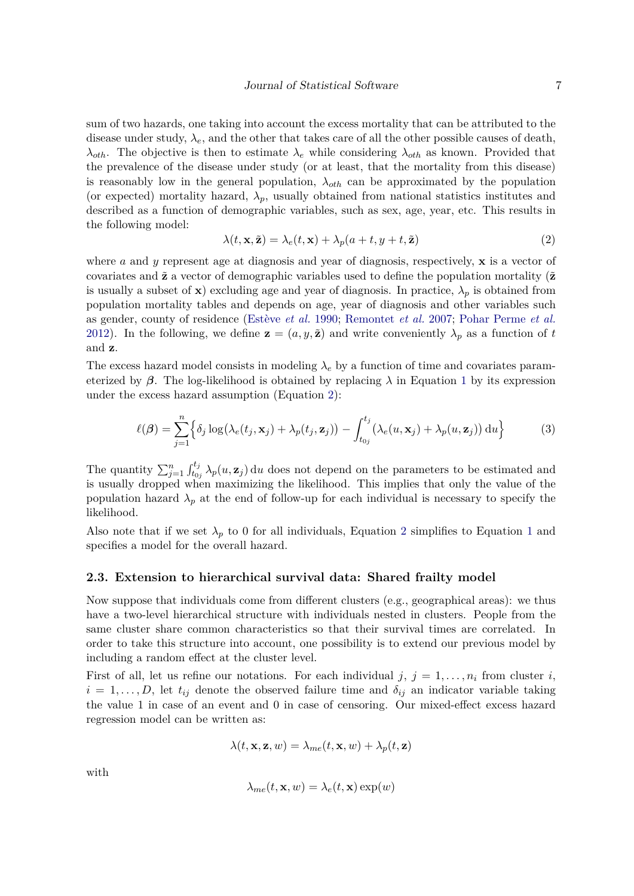sum of two hazards, one taking into account the excess mortality that can be attributed to the disease under study,  $\lambda_e$ , and the other that takes care of all the other possible causes of death, *λ*<sub>*oth</sub>*. The objective is then to estimate  $λ_e$  while considering  $λ_{oth}$  as known. Provided that</sub> the prevalence of the disease under study (or at least, that the mortality from this disease) is reasonably low in the general population,  $\lambda_{\alpha h}$  can be approximated by the population (or expected) mortality hazard,  $\lambda_p$ , usually obtained from national statistics institutes and described as a function of demographic variables, such as sex, age, year, etc. This results in the following model:

<span id="page-6-1"></span><span id="page-6-0"></span>
$$
\lambda(t, \mathbf{x}, \tilde{\mathbf{z}}) = \lambda_e(t, \mathbf{x}) + \lambda_p(a + t, y + t, \tilde{\mathbf{z}})
$$
\n(2)

where *a* and *y* represent age at diagnosis and year of diagnosis, respectively, **x** is a vector of covariates and  $\tilde{\mathbf{z}}$  a vector of demographic variables used to define the population mortality ( $\tilde{\mathbf{z}}$ is usually a subset of **x**) excluding age and year of diagnosis. In practice,  $\lambda_p$  is obtained from population mortality tables and depends on age, year of diagnosis and other variables such as gender, county of residence [\(Estève](#page-32-2) *et al.* [1990;](#page-32-2) [Remontet](#page-34-3) *et al.* [2007;](#page-34-3) [Pohar Perme](#page-33-2) *et al.* [2012\)](#page-33-2). In the following, we define  $\mathbf{z} = (a, y, \tilde{\mathbf{z}})$  and write conveniently  $\lambda_p$  as a function of t and **z**.

The excess hazard model consists in modeling  $\lambda_e$  by a function of time and covariates parameterized by  $\beta$ . The log-likelihood is obtained by replacing  $\lambda$  in Equation [1](#page-5-0) by its expression under the excess hazard assumption (Equation [2\)](#page-6-0):

$$
\ell(\boldsymbol{\beta}) = \sum_{j=1}^{n} \left\{ \delta_j \log(\lambda_e(t_j, \mathbf{x}_j) + \lambda_p(t_j, \mathbf{z}_j)) - \int_{t_{0j}}^{t_j} (\lambda_e(u, \mathbf{x}_j) + \lambda_p(u, \mathbf{z}_j)) du \right\}
$$
(3)

The quantity  $\sum_{j=1}^n \int_{t_{0j}}^{t_j} \lambda_p(u, \mathbf{z}_j) du$  does not depend on the parameters to be estimated and is usually dropped when maximizing the likelihood. This implies that only the value of the population hazard  $\lambda_p$  at the end of follow-up for each individual is necessary to specify the likelihood.

Also note that if we set  $\lambda_p$  to 0 for all individuals, Equation [2](#page-6-0) simplifies to Equation [1](#page-5-0) and specifies a model for the overall hazard.

#### **2.3. Extension to hierarchical survival data: Shared frailty model**

Now suppose that individuals come from different clusters (e.g., geographical areas): we thus have a two-level hierarchical structure with individuals nested in clusters. People from the same cluster share common characteristics so that their survival times are correlated. In order to take this structure into account, one possibility is to extend our previous model by including a random effect at the cluster level.

First of all, let us refine our notations. For each individual  $j, j = 1, \ldots, n_i$  from cluster *i*,  $i = 1, \ldots, D$ , let  $t_{ij}$  denote the observed failure time and  $\delta_{ij}$  an indicator variable taking the value 1 in case of an event and 0 in case of censoring. Our mixed-effect excess hazard regression model can be written as:

$$
\lambda(t, \mathbf{x}, \mathbf{z}, w) = \lambda_{me}(t, \mathbf{x}, w) + \lambda_p(t, \mathbf{z})
$$

with

$$
\lambda_{me}(t, \mathbf{x}, w) = \lambda_e(t, \mathbf{x}) \exp(w)
$$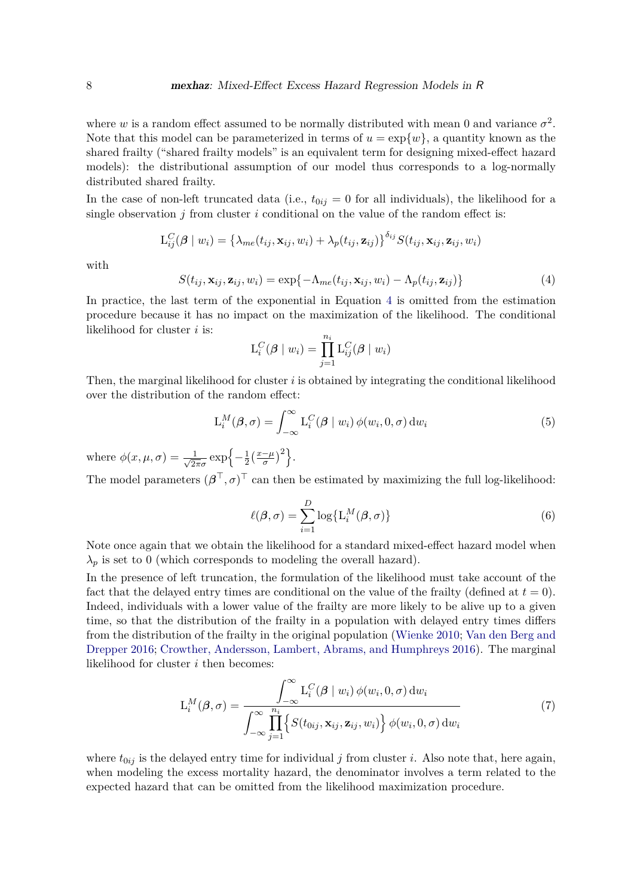where *w* is a random effect assumed to be normally distributed with mean 0 and variance  $\sigma^2$ . Note that this model can be parameterized in terms of  $u = \exp\{w\}$ , a quantity known as the shared frailty ("shared frailty models" is an equivalent term for designing mixed-effect hazard models): the distributional assumption of our model thus corresponds to a log-normally distributed shared frailty.

In the case of non-left truncated data (i.e.,  $t_{0ij} = 0$  for all individuals), the likelihood for a single observation *j* from cluster *i* conditional on the value of the random effect is:

$$
L_{ij}^C(\boldsymbol{\beta} \mid w_i) = \left\{ \lambda_{me}(t_{ij}, \mathbf{x}_{ij}, w_i) + \lambda_p(t_{ij}, \mathbf{z}_{ij}) \right\}^{\delta_{ij}} S(t_{ij}, \mathbf{x}_{ij}, \mathbf{z}_{ij}, w_i)
$$

<span id="page-7-0"></span>with

$$
S(t_{ij}, \mathbf{x}_{ij}, \mathbf{z}_{ij}, w_i) = \exp\{-\Lambda_{me}(t_{ij}, \mathbf{x}_{ij}, w_i) - \Lambda_p(t_{ij}, \mathbf{z}_{ij})\}\tag{4}
$$

In practice, the last term of the exponential in Equation [4](#page-7-0) is omitted from the estimation procedure because it has no impact on the maximization of the likelihood. The conditional likelihood for cluster *i* is:

<span id="page-7-1"></span>
$$
L_i^C(\boldsymbol{\beta} \mid w_i) = \prod_{j=1}^{n_i} L_{ij}^C(\boldsymbol{\beta} \mid w_i)
$$

Then, the marginal likelihood for cluster *i* is obtained by integrating the conditional likelihood over the distribution of the random effect:

$$
L_i^M(\beta, \sigma) = \int_{-\infty}^{\infty} L_i^C(\beta \mid w_i) \phi(w_i, 0, \sigma) dw_i
$$
 (5)

where  $\phi(x,\mu,\sigma) = \frac{1}{\sqrt{2}}$  $\frac{1}{2\pi\sigma} \exp\left\{-\frac{1}{2}\right\}$  $\frac{1}{2} \left( \frac{x-\mu}{\sigma} \right)^2$ .

<span id="page-7-3"></span>The model parameters  $(\beta^{\top}, \sigma)^{\top}$  can then be estimated by maximizing the full log-likelihood:

$$
\ell(\boldsymbol{\beta}, \sigma) = \sum_{i=1}^{D} \log \{ \mathcal{L}_i^M(\boldsymbol{\beta}, \sigma) \}
$$
 (6)

Note once again that we obtain the likelihood for a standard mixed-effect hazard model when  $\lambda_p$  is set to 0 (which corresponds to modeling the overall hazard).

In the presence of left truncation, the formulation of the likelihood must take account of the fact that the delayed entry times are conditional on the value of the frailty (defined at  $t = 0$ ). Indeed, individuals with a lower value of the frailty are more likely to be alive up to a given time, so that the distribution of the frailty in a population with delayed entry times differs from the distribution of the frailty in the original population [\(Wienke](#page-34-2) [2010;](#page-34-2) [Van den Berg and](#page-34-10) [Drepper](#page-34-10) [2016;](#page-34-10) [Crowther, Andersson, Lambert, Abrams, and Humphreys](#page-32-7) [2016\)](#page-32-7). The marginal likelihood for cluster *i* then becomes:

<span id="page-7-2"></span>
$$
L_i^M(\boldsymbol{\beta}, \sigma) = \frac{\int_{-\infty}^{\infty} L_i^C(\boldsymbol{\beta} \mid w_i) \phi(w_i, 0, \sigma) dw_i}{\int_{-\infty}^{\infty} \prod_{j=1}^{n_i} \left\{ S(t_{0ij}, \mathbf{x}_{ij}, \mathbf{z}_{ij}, w_i) \right\} \phi(w_i, 0, \sigma) dw_i}
$$
(7)

where  $t_{0ij}$  is the delayed entry time for individual *j* from cluster *i*. Also note that, here again, when modeling the excess mortality hazard, the denominator involves a term related to the expected hazard that can be omitted from the likelihood maximization procedure.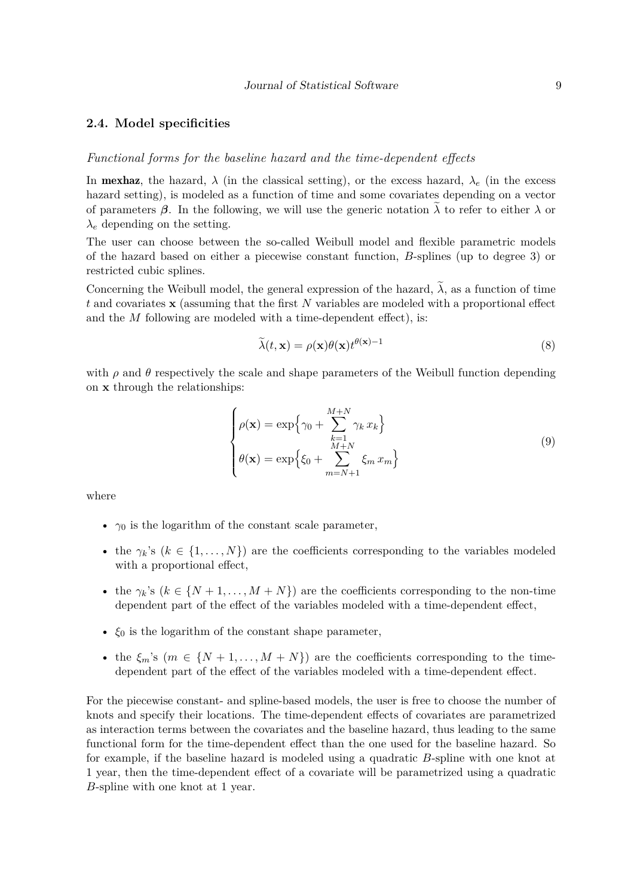#### **2.4. Model specificities**

#### *Functional forms for the baseline hazard and the time-dependent effects*

In **mexhaz**, the hazard,  $\lambda$  (in the classical setting), or the excess hazard,  $\lambda_e$  (in the excess hazard setting), is modeled as a function of time and some covariates depending on a vector of parameters  $\beta$ . In the following, we will use the generic notation  $\lambda$  to refer to either  $\lambda$  or  $\lambda_e$  depending on the setting.

The user can choose between the so-called Weibull model and flexible parametric models of the hazard based on either a piecewise constant function, *B*-splines (up to degree 3) or restricted cubic splines.

Concerning the Weibull model, the general expression of the hazard,  $\tilde{\lambda}$ , as a function of time *t* and covariates **x** (assuming that the first *N* variables are modeled with a proportional effect and the *M* following are modeled with a time-dependent effect), is:

$$
\tilde{\lambda}(t, \mathbf{x}) = \rho(\mathbf{x})\theta(\mathbf{x})t^{\theta(\mathbf{x})-1}
$$
\n(8)

with  $\rho$  and  $\theta$  respectively the scale and shape parameters of the Weibull function depending on **x** through the relationships:

$$
\begin{cases}\n\rho(\mathbf{x}) = \exp\left\{\gamma_0 + \sum_{k=1}^{M+N} \gamma_k x_k\right\} \\
\theta(\mathbf{x}) = \exp\left\{\xi_0 + \sum_{m=N+1}^{M+N} \xi_m x_m\right\}\n\end{cases} \tag{9}
$$

where

- $\gamma_0$  is the logarithm of the constant scale parameter,
- the  $\gamma_k$ 's ( $k \in \{1, ..., N\}$ ) are the coefficients corresponding to the variables modeled with a proportional effect,
- the  $\gamma_k$ 's ( $k \in \{N+1,\ldots,M+N\}$ ) are the coefficients corresponding to the non-time dependent part of the effect of the variables modeled with a time-dependent effect,
- $\xi_0$  is the logarithm of the constant shape parameter,
- the  $\xi_m$ 's  $(m \in \{N+1,\ldots,M+N\})$  are the coefficients corresponding to the timedependent part of the effect of the variables modeled with a time-dependent effect.

For the piecewise constant- and spline-based models, the user is free to choose the number of knots and specify their locations. The time-dependent effects of covariates are parametrized as interaction terms between the covariates and the baseline hazard, thus leading to the same functional form for the time-dependent effect than the one used for the baseline hazard. So for example, if the baseline hazard is modeled using a quadratic *B*-spline with one knot at 1 year, then the time-dependent effect of a covariate will be parametrized using a quadratic *B*-spline with one knot at 1 year.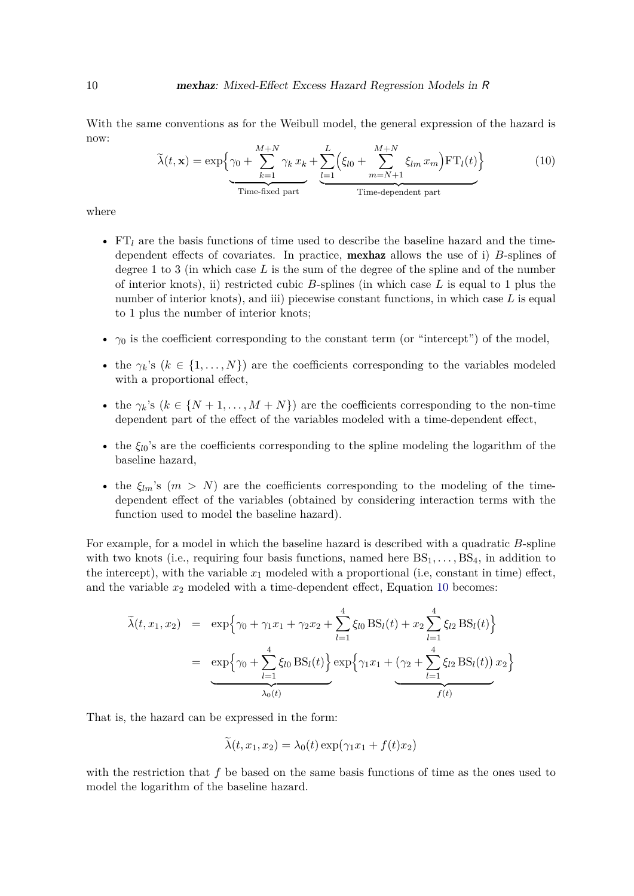<span id="page-9-0"></span>With the same conventions as for the Weibull model, the general expression of the hazard is now:

$$
\tilde{\lambda}(t, \mathbf{x}) = \exp\left\{\gamma_0 + \sum_{k=1}^{M+N} \gamma_k x_k + \underbrace{\sum_{l=1}^{L} \left(\xi_{l0} + \sum_{m=N+1}^{M+N} \xi_{lm} x_m\right) \mathbf{FT}_l(t)}_{\text{Time-fixed part}}\right\}
$$
(10)

where

- FT*<sup>l</sup>* are the basis functions of time used to describe the baseline hazard and the timedependent effects of covariates. In practice, mexhaz allows the use of i) *B*-splines of degree 1 to 3 (in which case *L* is the sum of the degree of the spline and of the number of interior knots), ii) restricted cubic *B*-splines (in which case *L* is equal to 1 plus the number of interior knots), and iii) piecewise constant functions, in which case L is equal to 1 plus the number of interior knots;
- *γ*<sub>0</sub> is the coefficient corresponding to the constant term (or "intercept") of the model,
- the  $\gamma_k$ 's ( $k \in \{1, ..., N\}$ ) are the coefficients corresponding to the variables modeled with a proportional effect,
- the  $\gamma_k$ 's ( $k \in \{N+1, \ldots, M+N\}$ ) are the coefficients corresponding to the non-time dependent part of the effect of the variables modeled with a time-dependent effect,
- the  $\xi_{l0}$ 's are the coefficients corresponding to the spline modeling the logarithm of the baseline hazard,
- the  $\xi_{lm}$ 's  $(m > N)$  are the coefficients corresponding to the modeling of the timedependent effect of the variables (obtained by considering interaction terms with the function used to model the baseline hazard).

For example, for a model in which the baseline hazard is described with a quadratic *B*-spline with two knots (i.e., requiring four basis functions, named here  $BS_1, \ldots, BS_4$ , in addition to the intercept), with the variable  $x_1$  modeled with a proportional (i.e, constant in time) effect, and the variable  $x_2$  modeled with a time-dependent effect, Equation [10](#page-9-0) becomes:

$$
\tilde{\lambda}(t, x_1, x_2) = \exp\left\{\gamma_0 + \gamma_1 x_1 + \gamma_2 x_2 + \sum_{l=1}^4 \xi_{l0} \text{BS}_l(t) + x_2 \sum_{l=1}^4 \xi_{l2} \text{BS}_l(t)\right\}
$$
\n
$$
= \exp\left\{\gamma_0 + \sum_{l=1}^4 \xi_{l0} \text{BS}_l(t)\right\} \exp\left\{\gamma_1 x_1 + \underbrace{(\gamma_2 + \sum_{l=1}^4 \xi_{l2} \text{BS}_l(t))}_{f(t)} x_2\right\}
$$

That is, the hazard can be expressed in the form:

$$
\lambda(t, x_1, x_2) = \lambda_0(t) \exp(\gamma_1 x_1 + f(t) x_2)
$$

with the restriction that *f* be based on the same basis functions of time as the ones used to model the logarithm of the baseline hazard.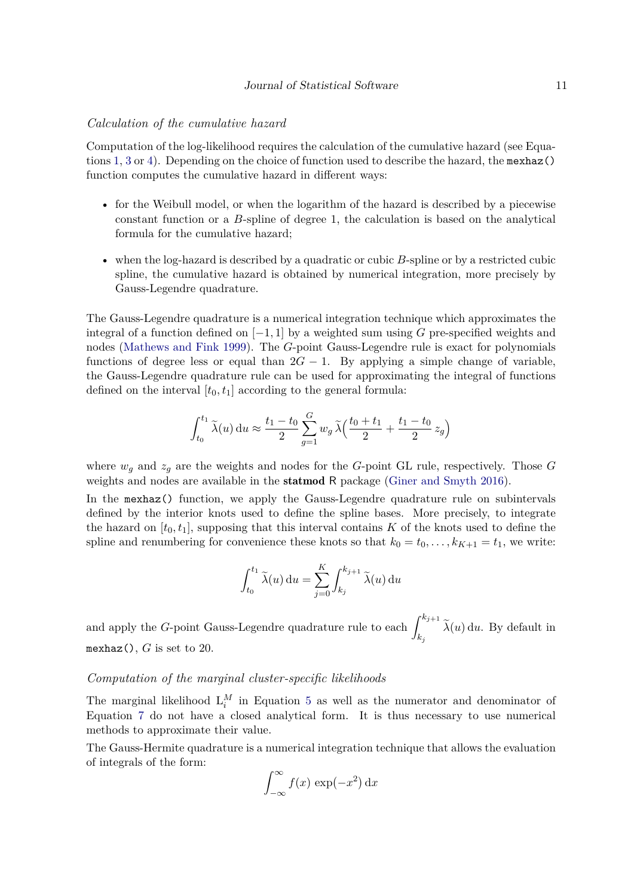#### *Calculation of the cumulative hazard*

Computation of the log-likelihood requires the calculation of the cumulative hazard (see Equations [1,](#page-5-0) [3](#page-6-1) or [4\)](#page-7-0). Depending on the choice of function used to describe the hazard, the mexhaz() function computes the cumulative hazard in different ways:

- for the Weibull model, or when the logarithm of the hazard is described by a piecewise constant function or a *B*-spline of degree 1, the calculation is based on the analytical formula for the cumulative hazard;
- when the log-hazard is described by a quadratic or cubic *B*-spline or by a restricted cubic spline, the cumulative hazard is obtained by numerical integration, more precisely by Gauss-Legendre quadrature.

The Gauss-Legendre quadrature is a numerical integration technique which approximates the integral of a function defined on  $[-1, 1]$  by a weighted sum using *G* pre-specified weights and nodes [\(Mathews and Fink](#page-33-9) [1999\)](#page-33-9). The *G*-point Gauss-Legendre rule is exact for polynomials functions of degree less or equal than  $2G - 1$ . By applying a simple change of variable, the Gauss-Legendre quadrature rule can be used for approximating the integral of functions defined on the interval  $[t_0, t_1]$  according to the general formula:

$$
\int_{t_0}^{t_1} \widetilde{\lambda}(u) du \approx \frac{t_1 - t_0}{2} \sum_{g=1}^G w_g \widetilde{\lambda}\Big(\frac{t_0 + t_1}{2} + \frac{t_1 - t_0}{2} z_g\Big)
$$

where  $w_g$  and  $z_g$  are the weights and nodes for the *G*-point GL rule, respectively. Those *G* weights and nodes are available in the statmod R package [\(Giner and Smyth](#page-32-8) [2016\)](#page-32-8).

In the mexhaz() function, we apply the Gauss-Legendre quadrature rule on subintervals defined by the interior knots used to define the spline bases. More precisely, to integrate the hazard on  $[t_0, t_1]$ , supposing that this interval contains *K* of the knots used to define the spline and renumbering for convenience these knots so that  $k_0 = t_0, \ldots, k_{K+1} = t_1$ , we write:

$$
\int_{t_0}^{t_1} \widetilde{\lambda}(u) du = \sum_{j=0}^{K} \int_{k_j}^{k_{j+1}} \widetilde{\lambda}(u) du
$$

and apply the *G*-point Gauss-Legendre quadrature rule to each  $\int^{k_{j+1}}$  $\lambda(u)$  d*u*. By default in mexhaz(),  $G$  is set to 20.

#### *Computation of the marginal cluster-specific likelihoods*

The marginal likelihood  $L_i^M$  in Equation [5](#page-7-1) as well as the numerator and denominator of Equation [7](#page-7-2) do not have a closed analytical form. It is thus necessary to use numerical methods to approximate their value.

The Gauss-Hermite quadrature is a numerical integration technique that allows the evaluation of integrals of the form:

$$
\int_{-\infty}^{\infty} f(x) \exp(-x^2) \, \mathrm{d}x
$$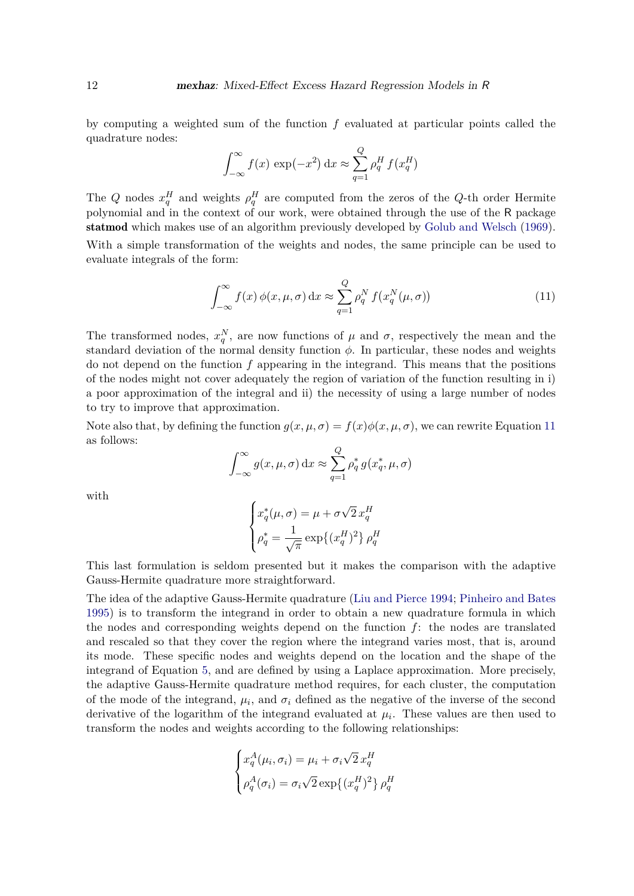by computing a weighted sum of the function *f* evaluated at particular points called the quadrature nodes:

$$
\int_{-\infty}^{\infty} f(x) \exp(-x^2) dx \approx \sum_{q=1}^{Q} \rho_q^H f(x_q^H)
$$

The *Q* nodes  $x_q^H$  and weights  $\rho_q^H$  are computed from the zeros of the *Q*-th order Hermite polynomial and in the context of our work, were obtained through the use of the R package statmod which makes use of an algorithm previously developed by [Golub and Welsch](#page-32-9) [\(1969\)](#page-32-9). With a simple transformation of the weights and nodes, the same principle can be used to evaluate integrals of the form:

<span id="page-11-0"></span>
$$
\int_{-\infty}^{\infty} f(x) \phi(x, \mu, \sigma) dx \approx \sum_{q=1}^{Q} \rho_q^N f(x_q^N(\mu, \sigma))
$$
\n(11)

The transformed nodes,  $x_q^N$ , are now functions of  $\mu$  and  $\sigma$ , respectively the mean and the standard deviation of the normal density function  $\phi$ . In particular, these nodes and weights do not depend on the function *f* appearing in the integrand. This means that the positions of the nodes might not cover adequately the region of variation of the function resulting in i) a poor approximation of the integral and ii) the necessity of using a large number of nodes to try to improve that approximation.

Note also that, by defining the function  $q(x, \mu, \sigma) = f(x)\phi(x, \mu, \sigma)$ , we can rewrite Equation [11](#page-11-0) as follows:

$$
\int_{-\infty}^{\infty} g(x, \mu, \sigma) dx \approx \sum_{q=1}^{Q} \rho_q^* g(x_q^*, \mu, \sigma)
$$

with

$$
\begin{cases} x_q^*(\mu, \sigma) = \mu + \sigma \sqrt{2} x_q^H \\ \rho_q^* = \frac{1}{\sqrt{\pi}} \exp\{(x_q^H)^2\} \, \rho_q^H \end{cases}
$$

This last formulation is seldom presented but it makes the comparison with the adaptive Gauss-Hermite quadrature more straightforward.

The idea of the adaptive Gauss-Hermite quadrature [\(Liu and Pierce](#page-33-10) [1994;](#page-33-10) [Pinheiro and Bates](#page-33-11) [1995\)](#page-33-11) is to transform the integrand in order to obtain a new quadrature formula in which the nodes and corresponding weights depend on the function *f*: the nodes are translated and rescaled so that they cover the region where the integrand varies most, that is, around its mode. These specific nodes and weights depend on the location and the shape of the integrand of Equation [5,](#page-7-1) and are defined by using a Laplace approximation. More precisely, the adaptive Gauss-Hermite quadrature method requires, for each cluster, the computation of the mode of the integrand,  $\mu_i$ , and  $\sigma_i$  defined as the negative of the inverse of the second derivative of the logarithm of the integrand evaluated at  $\mu_i$ . These values are then used to transform the nodes and weights according to the following relationships:

$$
\begin{cases} x_q^A(\mu_i, \sigma_i) = \mu_i + \sigma_i \sqrt{2} x_q^H \\ \rho_q^A(\sigma_i) = \sigma_i \sqrt{2} \exp\{(x_q^H)^2\} \rho_q^H \end{cases}
$$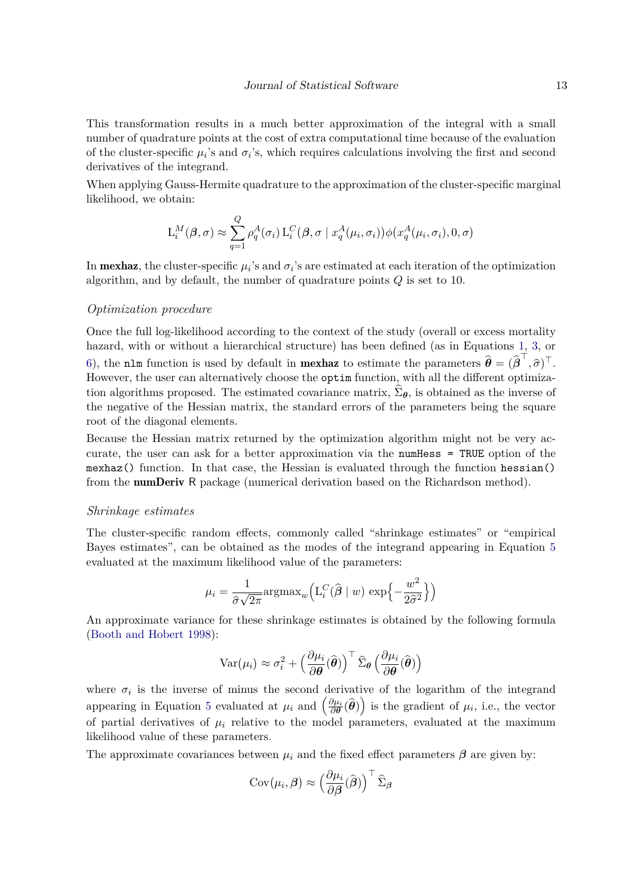This transformation results in a much better approximation of the integral with a small number of quadrature points at the cost of extra computational time because of the evaluation of the cluster-specific  $\mu_i$ 's and  $\sigma_i$ 's, which requires calculations involving the first and second derivatives of the integrand.

When applying Gauss-Hermite quadrature to the approximation of the cluster-specific marginal likelihood, we obtain:

$$
L_i^M(\boldsymbol{\beta}, \sigma) \approx \sum_{q=1}^Q \rho_q^A(\sigma_i) L_i^C(\boldsymbol{\beta}, \sigma \mid x_q^A(\mu_i, \sigma_i)) \phi(x_q^A(\mu_i, \sigma_i), 0, \sigma)
$$

In **mexhaz**, the cluster-specific  $\mu_i$ 's and  $\sigma_i$ 's are estimated at each iteration of the optimization algorithm, and by default, the number of quadrature points *Q* is set to 10.

#### *Optimization procedure*

Once the full log-likelihood according to the context of the study (overall or excess mortality hazard, with or without a hierarchical structure) has been defined (as in Equations [1,](#page-5-0) [3,](#page-6-1) or [6\)](#page-7-3), the nlm function is used by default in **mexhaz** to estimate the parameters  $\hat{\boldsymbol{\theta}} = (\hat{\boldsymbol{\beta}}^{\top}, \hat{\sigma})^{\top}$ . However, the user can alternatively choose the optim function, with all the different optimization algorithms proposed. The estimated covariance matrix,  $\Sigma_{\theta}$ , is obtained as the inverse of the negative of the Hessian matrix, the standard errors of the parameters being the square root of the diagonal elements.

Because the Hessian matrix returned by the optimization algorithm might not be very accurate, the user can ask for a better approximation via the numHess = TRUE option of the mexhaz() function. In that case, the Hessian is evaluated through the function hessian() from the numDeriv R package (numerical derivation based on the Richardson method).

#### *Shrinkage estimates*

The cluster-specific random effects, commonly called "shrinkage estimates" or "empirical Bayes estimates", can be obtained as the modes of the integrand appearing in Equation [5](#page-7-1) evaluated at the maximum likelihood value of the parameters:

$$
\mu_i = \frac{1}{\hat{\sigma}\sqrt{2\pi}} \text{argmax}_{w} \left( \mathcal{L}_i^C(\hat{\boldsymbol{\beta}} \mid w) \, \exp\left\{-\frac{w^2}{2\hat{\sigma}^2}\right\} \right)
$$

An approximate variance for these shrinkage estimates is obtained by the following formula [\(Booth and Hobert](#page-31-8) [1998\)](#page-31-8):

$$
\text{Var}(\mu_i) \approx \sigma_i^2 + \left(\frac{\partial \mu_i}{\partial \boldsymbol{\theta}}(\widehat{\boldsymbol{\theta}})\right)^{\top} \widehat{\Sigma}_{\boldsymbol{\theta}}\left(\frac{\partial \mu_i}{\partial \boldsymbol{\theta}}(\widehat{\boldsymbol{\theta}})\right)
$$

where  $\sigma_i$  is the inverse of minus the second derivative of the logarithm of the integrand appearing in Equation [5](#page-7-1) evaluated at  $\mu_i$  and  $\left(\frac{\partial \mu_i}{\partial \theta}(\hat{\theta})\right)$  is the gradient of  $\mu_i$ , i.e., the vector of partial derivatives of  $\mu_i$  relative to the model parameters, evaluated at the maximum likelihood value of these parameters.

The approximate covariances between  $\mu_i$  and the fixed effect parameters  $\beta$  are given by:

$$
Cov(\mu_i, \boldsymbol{\beta}) \approx \left(\frac{\partial \mu_i}{\partial \boldsymbol{\beta}}(\widehat{\boldsymbol{\beta}})\right)^{\top} \widehat{\Sigma}_{\boldsymbol{\beta}}
$$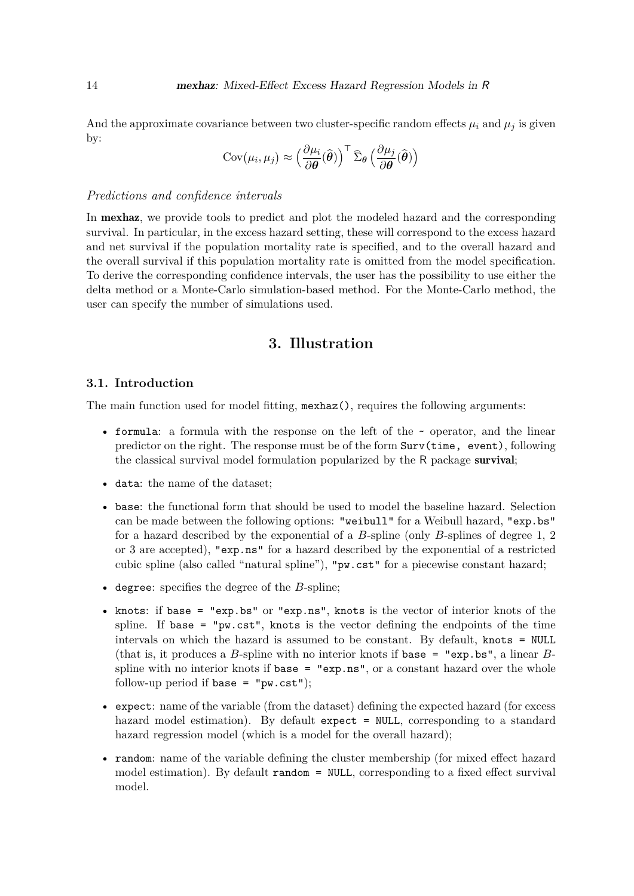And the approximate covariance between two cluster-specific random effects  $\mu_i$  and  $\mu_j$  is given by:

$$
Cov(\mu_i, \mu_j) \approx \left(\frac{\partial \mu_i}{\partial \boldsymbol{\theta}}(\widehat{\boldsymbol{\theta}})\right)^{\top} \widehat{\Sigma}_{\boldsymbol{\theta}}\left(\frac{\partial \mu_j}{\partial \boldsymbol{\theta}}(\widehat{\boldsymbol{\theta}})\right)
$$

#### *Predictions and confidence intervals*

In **mexhaz**, we provide tools to predict and plot the modeled hazard and the corresponding survival. In particular, in the excess hazard setting, these will correspond to the excess hazard and net survival if the population mortality rate is specified, and to the overall hazard and the overall survival if this population mortality rate is omitted from the model specification. To derive the corresponding confidence intervals, the user has the possibility to use either the delta method or a Monte-Carlo simulation-based method. For the Monte-Carlo method, the user can specify the number of simulations used.

## **3. Illustration**

#### **3.1. Introduction**

The main function used for model fitting, mexhaz(), requires the following arguments:

- formula: a formula with the response on the left of the  $\sim$  operator, and the linear predictor on the right. The response must be of the form Surv(time, event), following the classical survival model formulation popularized by the R package survival;
- data: the name of the dataset;
- base: the functional form that should be used to model the baseline hazard. Selection can be made between the following options: "weibull" for a Weibull hazard, "exp.bs" for a hazard described by the exponential of a *B*-spline (only *B*-splines of degree 1, 2 or 3 are accepted), "exp.ns" for a hazard described by the exponential of a restricted cubic spline (also called "natural spline"), "pw.cst" for a piecewise constant hazard;
- degree: specifies the degree of the *B*-spline;
- knots: if base = "exp.bs" or "exp.ns", knots is the vector of interior knots of the spline. If base  $=$  "pw.cst", knots is the vector defining the endpoints of the time intervals on which the hazard is assumed to be constant. By default, knots = NULL (that is, it produces a *B*-spline with no interior knots if base = "exp.bs", a linear *B*spline with no interior knots if  $base = "exp.ns",$  or a constant hazard over the whole follow-up period if base =  $"pw.cst"$ );
- expect: name of the variable (from the dataset) defining the expected hazard (for excess hazard model estimation). By default expect = NULL, corresponding to a standard hazard regression model (which is a model for the overall hazard);
- random: name of the variable defining the cluster membership (for mixed effect hazard model estimation). By default random = NULL, corresponding to a fixed effect survival model.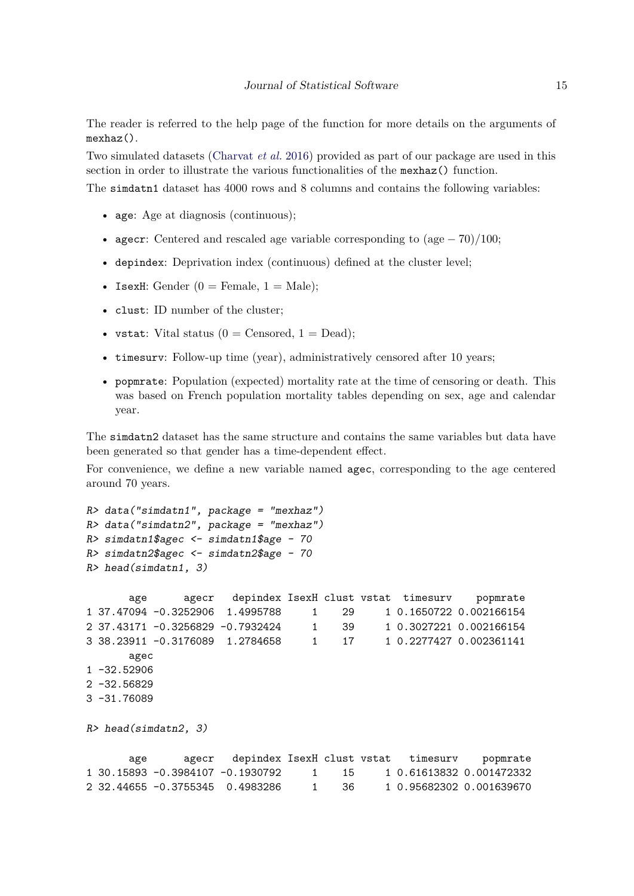The reader is referred to the help page of the function for more details on the arguments of mexhaz().

Two simulated datasets [\(Charvat](#page-31-9) *et al.* [2016\)](#page-31-9) provided as part of our package are used in this section in order to illustrate the various functionalities of the mexhaz() function.

The simdatn1 dataset has 4000 rows and 8 columns and contains the following variables:

- age: Age at diagnosis (continuous);
- agecr: Centered and rescaled age variable corresponding to (age − 70)*/*100;
- depindex: Deprivation index (continuous) defined at the cluster level;
- IsexH: Gender  $(0 =$  Female,  $1 =$  Male):
- clust: ID number of the cluster;
- vstat: Vital status  $(0 =$  Censored,  $1 =$  Dead);
- timesurv: Follow-up time (year), administratively censored after 10 years;
- popmrate: Population (expected) mortality rate at the time of censoring or death. This was based on French population mortality tables depending on sex, age and calendar year.

The simdatn2 dataset has the same structure and contains the same variables but data have been generated so that gender has a time-dependent effect.

For convenience, we define a new variable named agec, corresponding to the age centered around 70 years.

```
R> data("simdatn1", package = "mexhaz")
R> data("simdatn2", package = "mexhaz")
R> simdatn1$agec \leq simdatn1$age - 70
R> simdatn2$agec \leq simdatn2$age - 70
R> head(simdatn1, 3)
      age agecr depindex IsexH clust vstat timesurv popmrate
1 37.47094 -0.3252906 1.4995788 1 29 1 0.1650722 0.002166154
2 37.43171 -0.3256829 -0.7932424 1 39 1 0.3027221 0.002166154
3 38.23911 -0.3176089 1.2784658 1 17 1 0.2277427 0.002361141
      agec
1 - 32.529062 - 32.568293 -31.76089
R> head(simdatn2, 3)
      age agecr depindex IsexH clust vstat timesurv popmrate
```
1 30.15893 -0.3984107 -0.1930792 1 15 1 0.61613832 0.001472332 2 32.44655 -0.3755345 0.4983286 1 36 1 0.95682302 0.001639670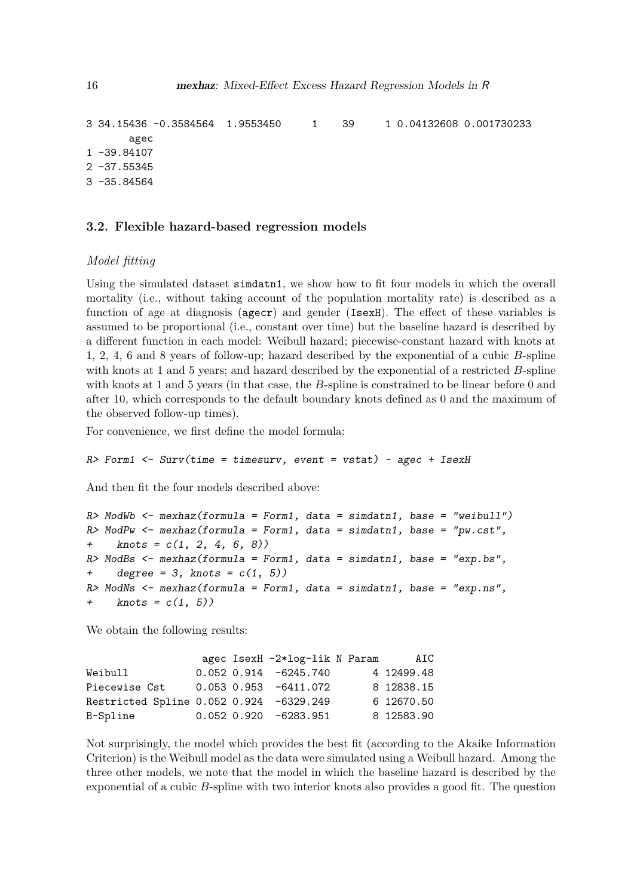```
3 34.15436 -0.3584564 1.9553450 1 39 1 0.04132608 0.001730233
      agec
1 -39.84107
2 -37.553453 -35.84564
```
#### **3.2. Flexible hazard-based regression models**

#### *Model fitting*

Using the simulated dataset simdatn1, we show how to fit four models in which the overall mortality (i.e., without taking account of the population mortality rate) is described as a function of age at diagnosis (agecr) and gender (IsexH). The effect of these variables is assumed to be proportional (i.e., constant over time) but the baseline hazard is described by a different function in each model: Weibull hazard; piecewise-constant hazard with knots at 1, 2, 4, 6 and 8 years of follow-up; hazard described by the exponential of a cubic *B*-spline with knots at 1 and 5 years; and hazard described by the exponential of a restricted *B*-spline with knots at 1 and 5 years (in that case, the *B*-spline is constrained to be linear before 0 and after 10, which corresponds to the default boundary knots defined as 0 and the maximum of the observed follow-up times).

For convenience, we first define the model formula:

 $R$ > Form1 <- Surv(time = timesurv, event = vstat) ~ agec + IsexH

And then fit the four models described above:

```
R> ModWb \le mexhaz(formula = Form1, data = simdatn1, base = "weibull")
R> ModPw \leq mexhaz(formula = Form1, data = simdatn1, base = "pw.cst",
+ knots = c(1, 2, 4, 6, 8)R> ModBs \le- mexhaz(formula = Form1, data = simdatn1, base = "exp.bs",
+ degree = 3, knots = c(1, 5))
R> ModNs \leq mexhaz(formula = Form1, data = simdatn1, base = "exp.ns",
    knots = c(1, 5)
```
We obtain the following results:

|                                         |  | agec IsexH -2*log-lik N Param |  | AIC        |
|-----------------------------------------|--|-------------------------------|--|------------|
| Weibull                                 |  | $0.052$ $0.914$ $-6245.740$   |  | 4 12499.48 |
| Piecewise Cst                           |  | $0.053$ $0.953$ $-6411.072$   |  | 8 12838.15 |
| Restricted Spline 0.052 0.924 -6329.249 |  |                               |  | 6 12670.50 |
| B-Spline                                |  | $0.052$ $0.920$ $-6283.951$   |  | 8 12583.90 |

Not surprisingly, the model which provides the best fit (according to the Akaike Information Criterion) is the Weibull model as the data were simulated using a Weibull hazard. Among the three other models, we note that the model in which the baseline hazard is described by the exponential of a cubic *B*-spline with two interior knots also provides a good fit. The question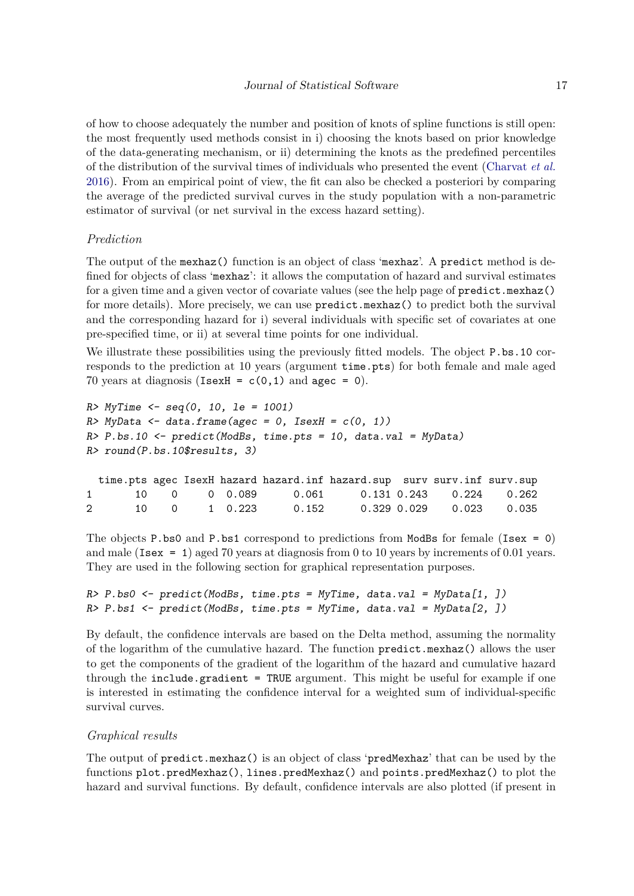of how to choose adequately the number and position of knots of spline functions is still open: the most frequently used methods consist in i) choosing the knots based on prior knowledge of the data-generating mechanism, or ii) determining the knots as the predefined percentiles of the distribution of the survival times of individuals who presented the event [\(Charvat](#page-31-9) *et al.* [2016\)](#page-31-9). From an empirical point of view, the fit can also be checked a posteriori by comparing the average of the predicted survival curves in the study population with a non-parametric estimator of survival (or net survival in the excess hazard setting).

#### *Prediction*

The output of the mexhaz() function is an object of class 'mexhaz'. A predict method is defined for objects of class 'mexhaz': it allows the computation of hazard and survival estimates for a given time and a given vector of covariate values (see the help page of predict.mexhaz() for more details). More precisely, we can use predict.mexhaz() to predict both the survival and the corresponding hazard for i) several individuals with specific set of covariates at one pre-specified time, or ii) at several time points for one individual.

We illustrate these possibilities using the previously fitted models. The object P.bs.10 corresponds to the prediction at 10 years (argument time.pts) for both female and male aged 70 years at diagnosis (IsexH =  $c(0,1)$  and agec = 0).

```
R > MyTime \le -seq(0, 10, 1e = 1001)R> MyData <- data.frame(agec = 0, IsexH = c(0, 1))
R > P.bs.10 <- predict(ModBs, time.pts = 10, data.val = MyData)
R> round(P.bs.10$results, 3)
 time.pts agec IsexH hazard hazard.inf hazard.sup surv surv.inf surv.sup
1 10 0 0 0.089 0.061 0.131 0.243 0.224 0.262
2 10 0 1 0.223 0.152 0.329 0.029 0.023 0.035
```
The objects P.bs0 and P.bs1 correspond to predictions from ModBs for female (Isex = 0) and male (Isex = 1) aged 70 years at diagnosis from 0 to 10 years by increments of 0.01 years. They are used in the following section for graphical representation purposes.

```
R> P.bs0 <- predict(ModBs, time.pts = MyTime, data.val = MyData[1, ])
R> P.bs1 <- predict(ModBs, time.pts = MyTime, data.val = MyData[2, ])
```
By default, the confidence intervals are based on the Delta method, assuming the normality of the logarithm of the cumulative hazard. The function predict.mexhaz() allows the user to get the components of the gradient of the logarithm of the hazard and cumulative hazard through the include.gradient = TRUE argument. This might be useful for example if one is interested in estimating the confidence interval for a weighted sum of individual-specific survival curves.

#### *Graphical results*

The output of predict.mexhaz() is an object of class 'predMexhaz' that can be used by the functions plot.predMexhaz(), lines.predMexhaz() and points.predMexhaz() to plot the hazard and survival functions. By default, confidence intervals are also plotted (if present in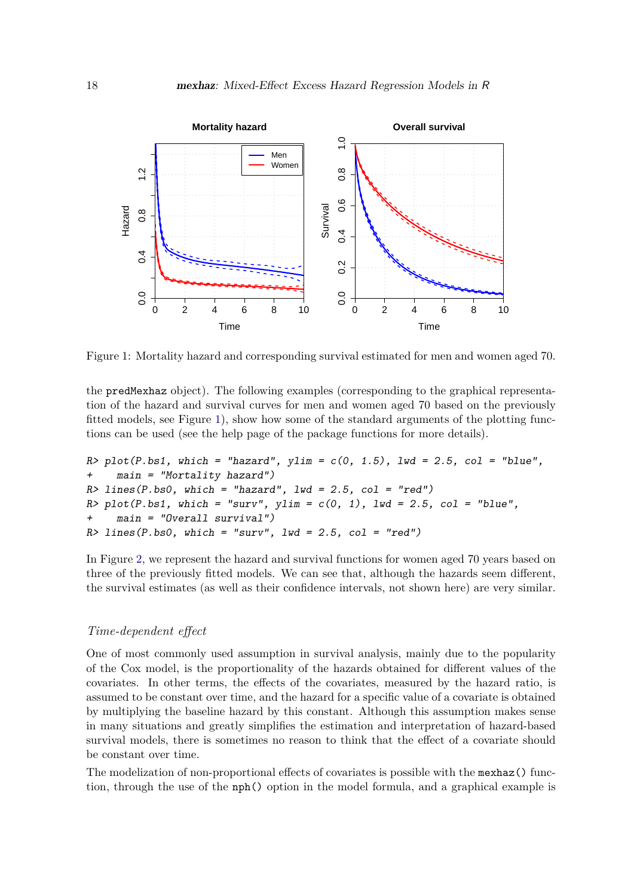

<span id="page-17-0"></span>Figure 1: Mortality hazard and corresponding survival estimated for men and women aged 70.

the predMexhaz object). The following examples (corresponding to the graphical representation of the hazard and survival curves for men and women aged 70 based on the previously fitted models, see Figure [1\)](#page-17-0), show how some of the standard arguments of the plotting functions can be used (see the help page of the package functions for more details).

```
R> plot(P.bs1, which = "hazard", ylim = c(0, 1.5), lwd = 2.5, col = "blue",
+ main = "Mortality hazard")
R > lines(P.bs0, which = "hazard", lwd = 2.5, col = "red")
R> plot(P.bs1, which = "surv", ylim = c(0, 1), lwd = 2.5, col = "blue",
    main = "Overall survival")R > lines(P.bs0, which = "surv", lwd = 2.5, col = "red")
```
In Figure [2,](#page-18-0) we represent the hazard and survival functions for women aged 70 years based on three of the previously fitted models. We can see that, although the hazards seem different, the survival estimates (as well as their confidence intervals, not shown here) are very similar.

#### *Time-dependent effect*

One of most commonly used assumption in survival analysis, mainly due to the popularity of the Cox model, is the proportionality of the hazards obtained for different values of the covariates. In other terms, the effects of the covariates, measured by the hazard ratio, is assumed to be constant over time, and the hazard for a specific value of a covariate is obtained by multiplying the baseline hazard by this constant. Although this assumption makes sense in many situations and greatly simplifies the estimation and interpretation of hazard-based survival models, there is sometimes no reason to think that the effect of a covariate should be constant over time.

The modelization of non-proportional effects of covariates is possible with the mexhaz() function, through the use of the nph() option in the model formula, and a graphical example is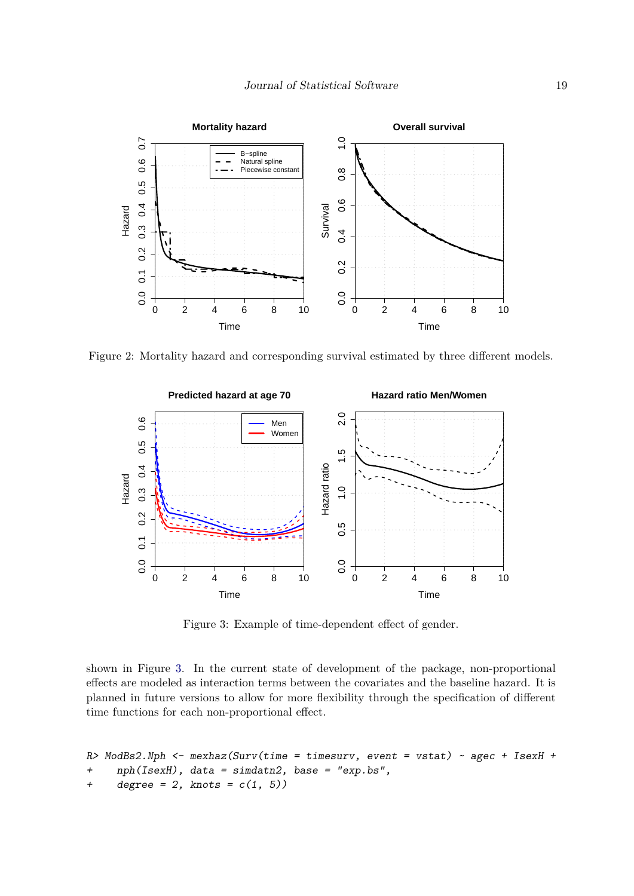

Figure 2: Mortality hazard and corresponding survival estimated by three different models.

<span id="page-18-0"></span>

<span id="page-18-1"></span>Figure 3: Example of time-dependent effect of gender.

shown in Figure [3.](#page-18-1) In the current state of development of the package, non-proportional effects are modeled as interaction terms between the covariates and the baseline hazard. It is planned in future versions to allow for more flexibility through the specification of different time functions for each non-proportional effect.

```
R> ModBs2.Nph <- mexhaz(Surv(time = timesurv, event = vstat) ~ agec + IsexH +
+ nph(IsexH), data = simdatn2, base = "exp.bs",
+ degree = 2, knots = c(1, 5))
```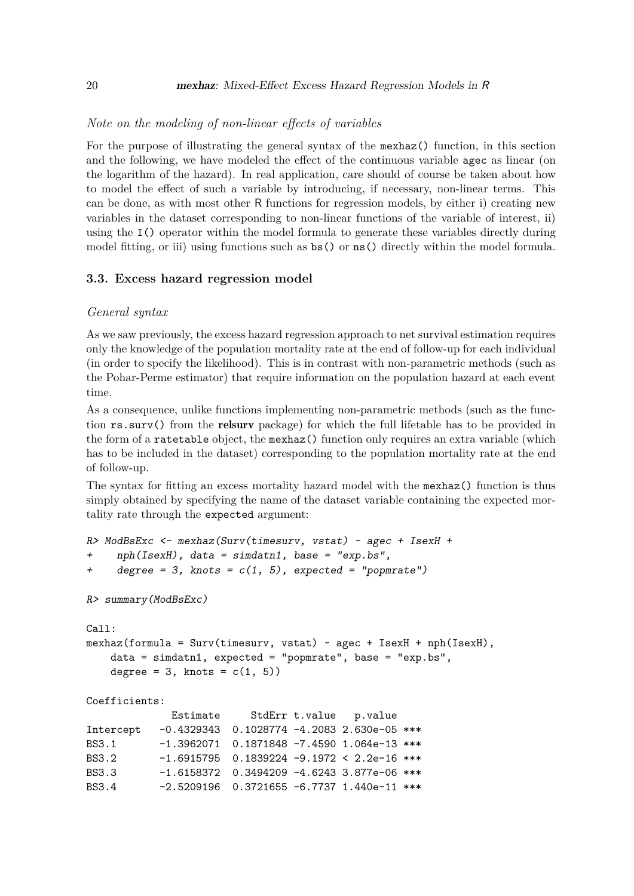#### *Note on the modeling of non-linear effects of variables*

For the purpose of illustrating the general syntax of the mexhaz() function, in this section and the following, we have modeled the effect of the continuous variable agec as linear (on the logarithm of the hazard). In real application, care should of course be taken about how to model the effect of such a variable by introducing, if necessary, non-linear terms. This can be done, as with most other R functions for regression models, by either i) creating new variables in the dataset corresponding to non-linear functions of the variable of interest, ii) using the I() operator within the model formula to generate these variables directly during model fitting, or iii) using functions such as  $bs()$  or  $ns()$  directly within the model formula.

#### **3.3. Excess hazard regression model**

#### *General syntax*

As we saw previously, the excess hazard regression approach to net survival estimation requires only the knowledge of the population mortality rate at the end of follow-up for each individual (in order to specify the likelihood). This is in contrast with non-parametric methods (such as the Pohar-Perme estimator) that require information on the population hazard at each event time.

As a consequence, unlike functions implementing non-parametric methods (such as the function rs.surv() from the relsurv package) for which the full lifetable has to be provided in the form of a ratetable object, the mexhaz() function only requires an extra variable (which has to be included in the dataset) corresponding to the population mortality rate at the end of follow-up.

The syntax for fitting an excess mortality hazard model with the mexhaz() function is thus simply obtained by specifying the name of the dataset variable containing the expected mortality rate through the expected argument:

```
R> ModBsExc <- mexhaz(Surv(timesurv, vstat) ~ agec + IsexH +
+ nph(IsexH), data = simdatn1, base = "exp.bs",
     degree = 3, knots = c(1, 5), expected = "popmrate")
R> summary(ModBsExc)
Call:
mexhaz(formula = Surv(timesurv, vstat) ~ agec + IsexH + nph(IsexH),
   data = simdatn1, expected = "popmrate", base = "exp.bs",
   degree = 3, knots = c(1, 5))
Coefficients:
             Estimate StdErr t.value p.value
Intercept -0.4329343 0.1028774 -4.2083 2.630e-05 ***
BS3.1 -1.3962071 0.1871848 -7.4590 1.064e-13 ***
BS3.2 -1.6915795 0.1839224 -9.1972 < 2.2e-16 ***
BS3.3 -1.6158372 0.3494209 -4.6243 3.877e-06 ***
```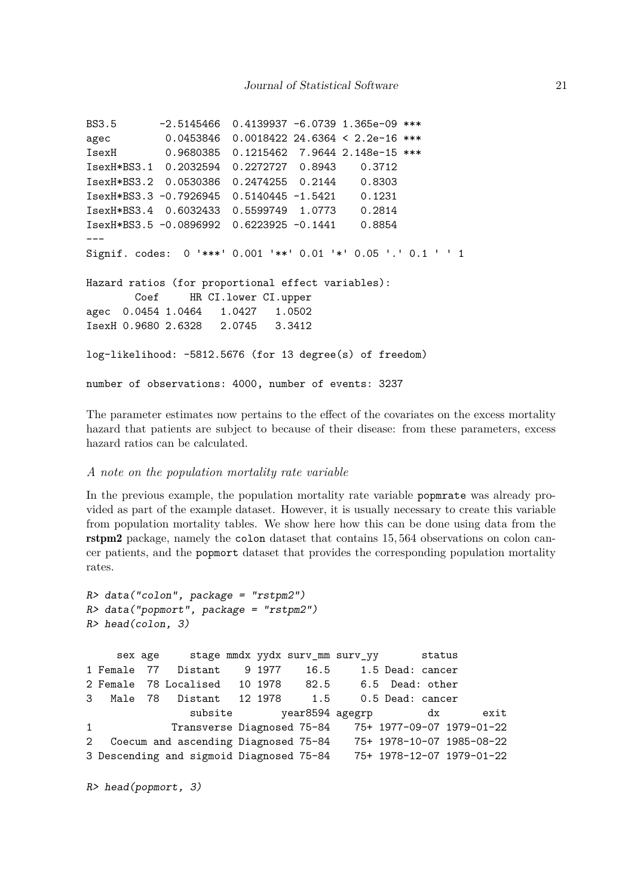```
BS3.5 -2.5145466 0.4139937 -6.0739 1.365e-09 ***
agec 0.0453846 0.0018422 24.6364 < 2.2e-16 ***
IsexH 0.9680385 0.1215462 7.9644 2.148e-15 ***
IsexH*BS3.1 0.2032594 0.2272727 0.8943 0.3712
IsexH*BS3.2 0.0530386 0.2474255 0.2144 0.8303
IsexH*BS3.3 -0.7926945 0.5140445 -1.5421 0.1231
IsexH*BS3.4 0.6032433 0.5599749 1.0773 0.2814
IsexH*BS3.5 -0.0896992 0.6223925 -0.1441 0.8854
---
Signif. codes: 0 '***' 0.001 '**' 0.01 '*' 0.05 '.' 0.1 ' ' 1
Hazard ratios (for proportional effect variables):
       Coef HR CI.lower CI.upper
agec 0.0454 1.0464 1.0427 1.0502
IsexH 0.9680 2.6328 2.0745 3.3412
log-likelihood: -5812.5676 (for 13 degree(s) of freedom)
number of observations: 4000, number of events: 3237
```
The parameter estimates now pertains to the effect of the covariates on the excess mortality hazard that patients are subject to because of their disease: from these parameters, excess hazard ratios can be calculated.

#### *A note on the population mortality rate variable*

In the previous example, the population mortality rate variable popmrate was already provided as part of the example dataset. However, it is usually necessary to create this variable from population mortality tables. We show here how this can be done using data from the rstpm2 package, namely the colon dataset that contains 15*,* 564 observations on colon cancer patients, and the popmort dataset that provides the corresponding population mortality rates.

```
R> data("colon", package = "rstpm2")
R> data("popmort", package = "rstpm2")
R> head(colon, 3)
```

```
sex age stage mmdx yydx surv_mm surv_yy status
1 Female 77 Distant 9 1977 16.5 1.5 Dead: cancer
2 Female 78 Localised 10 1978 82.5 6.5 Dead: other
3 Male 78 Distant 12 1978 1.5 0.5 Dead: cancer
             subsite year8594 agegrp dx exit
1 Transverse Diagnosed 75-84 75+ 1977-09-07 1979-01-22
2 Coecum and ascending Diagnosed 75-84 75+ 1978-10-07 1985-08-22
3 Descending and sigmoid Diagnosed 75-84 75+ 1978-12-07 1979-01-22
```

```
R> head(popmort, 3)
```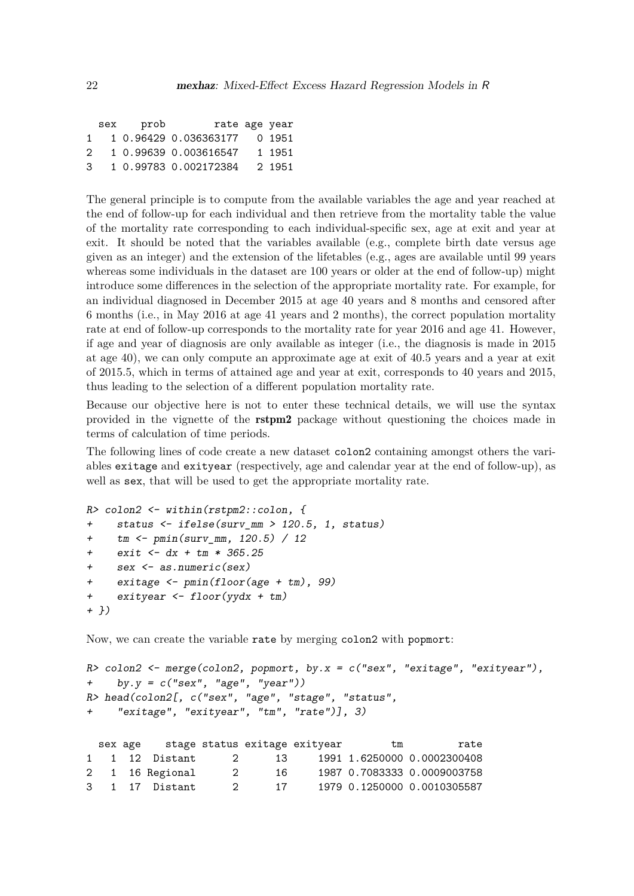|    | sex prob | rate age year                |        |
|----|----------|------------------------------|--------|
| 1. |          | 1 0.96429 0.036363177 0 1951 |        |
| 2. |          | 1 0.99639 0.003616547        | 1 1951 |
| 3  |          | 1 0.99783 0.002172384        | 2 1951 |

The general principle is to compute from the available variables the age and year reached at the end of follow-up for each individual and then retrieve from the mortality table the value of the mortality rate corresponding to each individual-specific sex, age at exit and year at exit. It should be noted that the variables available (e.g., complete birth date versus age given as an integer) and the extension of the lifetables (e.g., ages are available until 99 years whereas some individuals in the dataset are 100 years or older at the end of follow-up) might introduce some differences in the selection of the appropriate mortality rate. For example, for an individual diagnosed in December 2015 at age 40 years and 8 months and censored after 6 months (i.e., in May 2016 at age 41 years and 2 months), the correct population mortality rate at end of follow-up corresponds to the mortality rate for year 2016 and age 41. However, if age and year of diagnosis are only available as integer (i.e., the diagnosis is made in 2015 at age 40), we can only compute an approximate age at exit of 40.5 years and a year at exit of 2015.5, which in terms of attained age and year at exit, corresponds to 40 years and 2015, thus leading to the selection of a different population mortality rate.

Because our objective here is not to enter these technical details, we will use the syntax provided in the vignette of the rstpm2 package without questioning the choices made in terms of calculation of time periods.

The following lines of code create a new dataset colon2 containing amongst others the variables exitage and exityear (respectively, age and calendar year at the end of follow-up), as well as sex, that will be used to get the appropriate mortality rate.

```
R> colon2 <- within(rstpm2::colon, {
+ status <- ifelse(surv_mm > 120.5, 1, status)
+ tm <- pmin(surv_mm, 120.5) / 12
+ exit <- dx + tm * 365.25
    sex <- as.numeric(sex)
+ exitage <- pmin(floor(age + tm), 99)
+ exityear <- floor(yydx + tm)
+ })
```
Now, we can create the variable rate by merging colon2 with popmort:

```
R> colon2 <- merge(colon2, popmort, by.x = c("sex", "existence", "existence",+ by.y = c("sex", "age", "year"))
R> head(colon2[, c("sex", "age", "stage", "status",
+ "exitage", "exityear", "tm", "rate")], 3)
```

|  | sex age stage status exitage exityear |               |     | tm | rate                        |
|--|---------------------------------------|---------------|-----|----|-----------------------------|
|  | 1 1 12 Distant                        | $\mathcal{L}$ | 13  |    | 1991 1.6250000 0.0002300408 |
|  | 2 1 16 Regional                       |               | 16. |    | 1987 0.7083333 0.0009003758 |
|  | 3 1 17 Distant                        |               | 17  |    | 1979 0.1250000 0.0010305587 |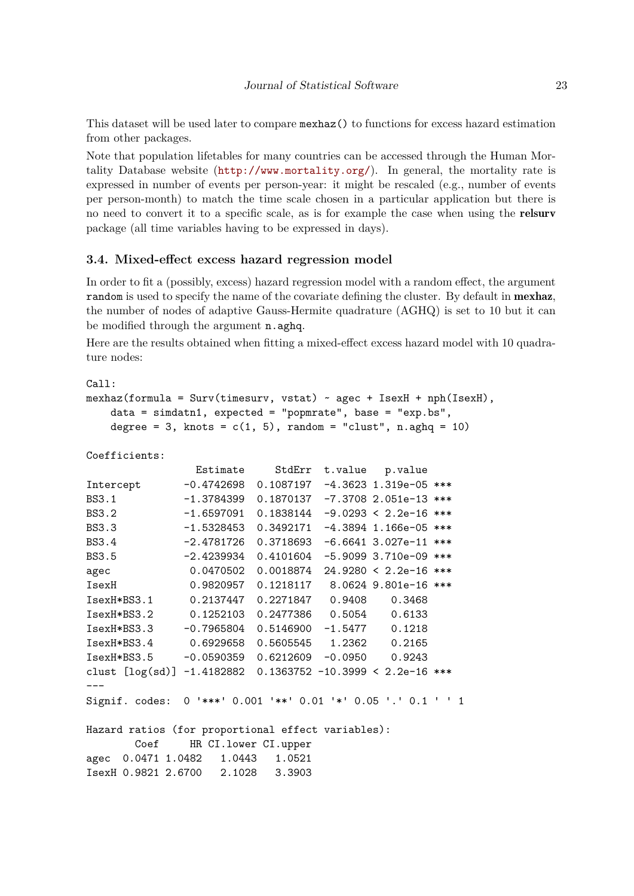This dataset will be used later to compare mexhaz() to functions for excess hazard estimation from other packages.

Note that population lifetables for many countries can be accessed through the Human Mortality Database website (<http://www.mortality.org/>). In general, the mortality rate is expressed in number of events per person-year: it might be rescaled (e.g., number of events per person-month) to match the time scale chosen in a particular application but there is no need to convert it to a specific scale, as is for example the case when using the **relsurv** package (all time variables having to be expressed in days).

#### **3.4. Mixed-effect excess hazard regression model**

In order to fit a (possibly, excess) hazard regression model with a random effect, the argument random is used to specify the name of the covariate defining the cluster. By default in mexhaz, the number of nodes of adaptive Gauss-Hermite quadrature (AGHQ) is set to 10 but it can be modified through the argument n.aghq.

Here are the results obtained when fitting a mixed-effect excess hazard model with 10 quadrature nodes:

```
Ca11:mexhaz(formula = Surv(timesurv, vstat) ~ agec + IsexH + nph(IsexH),
   data = simdatn1, expected = "popmrate", base = "exp.bs",
   degree = 3, knots = c(1, 5), random = "clust", n.aghq = 10)
Coefficients:
               Estimate StdErr t.value p.value
Intercept -0.4742698 0.1087197 -4.3623 1.319e-05 ***
BS3.1 -1.3784399 0.1870137 -7.3708 2.051e-13 ***
BS3.2 -1.6597091 0.1838144 -9.0293 < 2.2e-16 ***
BS3.3 -1.5328453 0.3492171 -4.3894 1.166e-05 ***
BS3.4 -2.4781726 0.3718693 -6.6641 3.027e-11 ***
BS3.5 -2.4239934 0.4101604 -5.9099 3.710e-09 ***
agec 0.0470502 0.0018874 24.9280 < 2.2e-16 ***
IsexH 0.9820957 0.1218117 8.0624 9.801e-16 ***
IsexH*BS3.1 0.2137447 0.2271847 0.9408 0.3468
IsexH*BS3.2 0.1252103 0.2477386 0.5054 0.6133
IsexH*BS3.3 -0.7965804 0.5146900 -1.5477 0.1218
IsexH*BS3.4 0.6929658 0.5605545 1.2362 0.2165
IsexH*BS3.5 -0.0590359 0.6212609 -0.0950 0.9243
clust [log(sd)] -1.4182882 0.1363752 -10.3999 < 2.2e-16 ***
---
Signif. codes: 0 '***' 0.001 '**' 0.01 '*' 0.05 '.' 0.1 ' ' 1
Hazard ratios (for proportional effect variables):
       Coef HR CI.lower CI.upper
```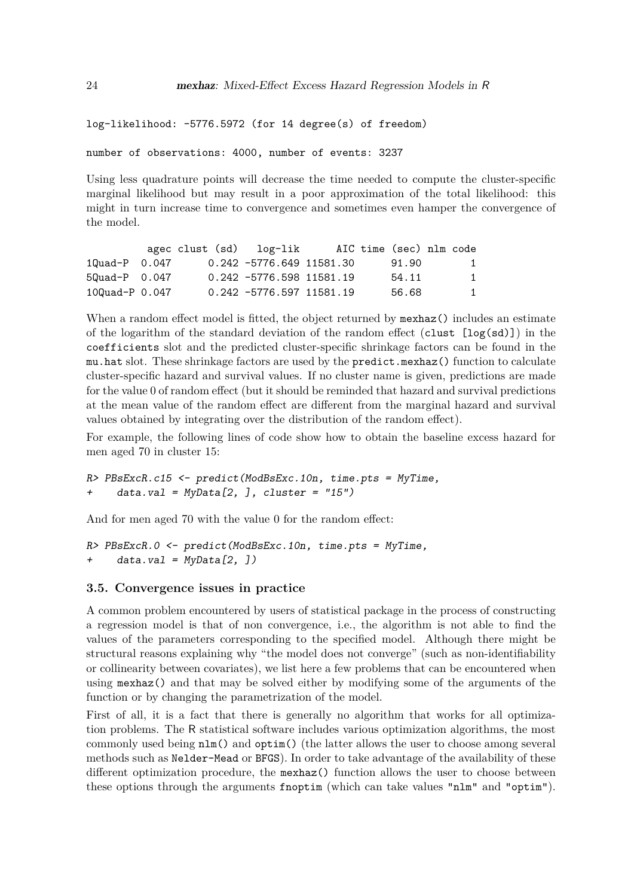```
log-likelihood: -5776.5972 (for 14 degree(s) of freedom)
```
number of observations: 4000, number of events: 3237

Using less quadrature points will decrease the time needed to compute the cluster-specific marginal likelihood but may result in a poor approximation of the total likelihood: this might in turn increase time to convergence and sometimes even hamper the convergence of the model.

|                    | agec clust (sd) log-lik |                            |  | AIC time (sec) nlm code |              |
|--------------------|-------------------------|----------------------------|--|-------------------------|--------------|
| $10uad-P$ 0.047    |                         | 0.242 -5776.649 11581.30   |  | 91.90                   | 1            |
| $50$ uad-P $0.047$ |                         | 0.242 -5776.598 11581.19   |  | 54.11                   | $\mathbf{1}$ |
| 100uad- $P$ 0.047  |                         | $0.242 -5776.597$ 11581.19 |  | 56.68                   | 1.           |

When a random effect model is fitted, the object returned by mexhaz() includes an estimate of the logarithm of the standard deviation of the random effect (clust  $[\log(\text{sd})]$ ) in the coefficients slot and the predicted cluster-specific shrinkage factors can be found in the mu.hat slot. These shrinkage factors are used by the predict.mexhaz() function to calculate cluster-specific hazard and survival values. If no cluster name is given, predictions are made for the value 0 of random effect (but it should be reminded that hazard and survival predictions at the mean value of the random effect are different from the marginal hazard and survival values obtained by integrating over the distribution of the random effect).

For example, the following lines of code show how to obtain the baseline excess hazard for men aged 70 in cluster 15:

```
R> PBsExcR.c15 <- predict(ModBsExc.10n, time.pts = MyTime,
+ data.val = MyData[2,], cluster = "15")
```
And for men aged 70 with the value 0 for the random effect:

```
R> PBsExcR.0 <- predict(ModBsExc.10n, time.pts = MyTime,
+ data.val = MyData[2, ])
```
#### **3.5. Convergence issues in practice**

A common problem encountered by users of statistical package in the process of constructing a regression model is that of non convergence, i.e., the algorithm is not able to find the values of the parameters corresponding to the specified model. Although there might be structural reasons explaining why "the model does not converge" (such as non-identifiability or collinearity between covariates), we list here a few problems that can be encountered when using mexhaz() and that may be solved either by modifying some of the arguments of the function or by changing the parametrization of the model.

First of all, it is a fact that there is generally no algorithm that works for all optimization problems. The R statistical software includes various optimization algorithms, the most commonly used being nlm() and optim() (the latter allows the user to choose among several methods such as Nelder-Mead or BFGS). In order to take advantage of the availability of these different optimization procedure, the mexhaz() function allows the user to choose between these options through the arguments fnoptim (which can take values "nlm" and "optim").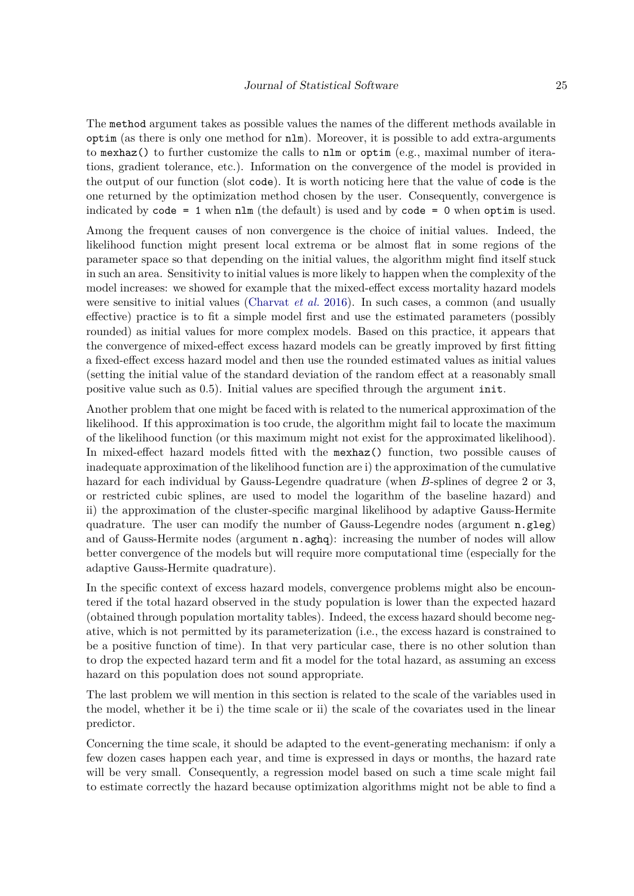The method argument takes as possible values the names of the different methods available in optim (as there is only one method for nlm). Moreover, it is possible to add extra-arguments to mexhaz() to further customize the calls to nlm or optim (e.g., maximal number of iterations, gradient tolerance, etc.). Information on the convergence of the model is provided in the output of our function (slot code). It is worth noticing here that the value of code is the one returned by the optimization method chosen by the user. Consequently, convergence is indicated by  $code = 1$  when  $nlm$  (the default) is used and by  $code = 0$  when optim is used.

Among the frequent causes of non convergence is the choice of initial values. Indeed, the likelihood function might present local extrema or be almost flat in some regions of the parameter space so that depending on the initial values, the algorithm might find itself stuck in such an area. Sensitivity to initial values is more likely to happen when the complexity of the model increases: we showed for example that the mixed-effect excess mortality hazard models were sensitive to initial values [\(Charvat](#page-31-9) *et al.* [2016\)](#page-31-9). In such cases, a common (and usually effective) practice is to fit a simple model first and use the estimated parameters (possibly rounded) as initial values for more complex models. Based on this practice, it appears that the convergence of mixed-effect excess hazard models can be greatly improved by first fitting a fixed-effect excess hazard model and then use the rounded estimated values as initial values (setting the initial value of the standard deviation of the random effect at a reasonably small positive value such as 0.5). Initial values are specified through the argument init.

Another problem that one might be faced with is related to the numerical approximation of the likelihood. If this approximation is too crude, the algorithm might fail to locate the maximum of the likelihood function (or this maximum might not exist for the approximated likelihood). In mixed-effect hazard models fitted with the mexhaz() function, two possible causes of inadequate approximation of the likelihood function are i) the approximation of the cumulative hazard for each individual by Gauss-Legendre quadrature (when *B*-splines of degree 2 or 3, or restricted cubic splines, are used to model the logarithm of the baseline hazard) and ii) the approximation of the cluster-specific marginal likelihood by adaptive Gauss-Hermite quadrature. The user can modify the number of Gauss-Legendre nodes (argument  $n.getg)$ ) and of Gauss-Hermite nodes (argument **n**.aghq): increasing the number of nodes will allow better convergence of the models but will require more computational time (especially for the adaptive Gauss-Hermite quadrature).

In the specific context of excess hazard models, convergence problems might also be encountered if the total hazard observed in the study population is lower than the expected hazard (obtained through population mortality tables). Indeed, the excess hazard should become negative, which is not permitted by its parameterization (i.e., the excess hazard is constrained to be a positive function of time). In that very particular case, there is no other solution than to drop the expected hazard term and fit a model for the total hazard, as assuming an excess hazard on this population does not sound appropriate.

The last problem we will mention in this section is related to the scale of the variables used in the model, whether it be i) the time scale or ii) the scale of the covariates used in the linear predictor.

Concerning the time scale, it should be adapted to the event-generating mechanism: if only a few dozen cases happen each year, and time is expressed in days or months, the hazard rate will be very small. Consequently, a regression model based on such a time scale might fail to estimate correctly the hazard because optimization algorithms might not be able to find a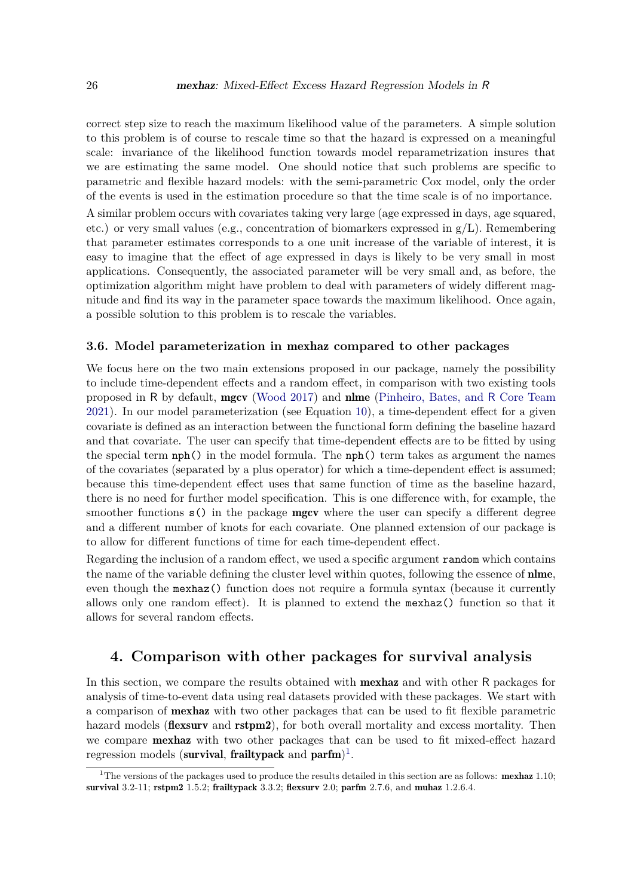correct step size to reach the maximum likelihood value of the parameters. A simple solution to this problem is of course to rescale time so that the hazard is expressed on a meaningful scale: invariance of the likelihood function towards model reparametrization insures that we are estimating the same model. One should notice that such problems are specific to parametric and flexible hazard models: with the semi-parametric Cox model, only the order of the events is used in the estimation procedure so that the time scale is of no importance.

A similar problem occurs with covariates taking very large (age expressed in days, age squared, etc.) or very small values (e.g., concentration of biomarkers expressed in  $g/L$ ). Remembering that parameter estimates corresponds to a one unit increase of the variable of interest, it is easy to imagine that the effect of age expressed in days is likely to be very small in most applications. Consequently, the associated parameter will be very small and, as before, the optimization algorithm might have problem to deal with parameters of widely different magnitude and find its way in the parameter space towards the maximum likelihood. Once again, a possible solution to this problem is to rescale the variables.

#### **3.6. Model parameterization in** mexhaz **compared to other packages**

We focus here on the two main extensions proposed in our package, namely the possibility to include time-dependent effects and a random effect, in comparison with two existing tools proposed in R by default, mgcv [\(Wood](#page-34-11) [2017\)](#page-34-11) and nlme [\(Pinheiro, Bates, and](#page-33-12) R Core Team [2021\)](#page-33-12). In our model parameterization (see Equation [10\)](#page-9-0), a time-dependent effect for a given covariate is defined as an interaction between the functional form defining the baseline hazard and that covariate. The user can specify that time-dependent effects are to be fitted by using the special term nph() in the model formula. The nph() term takes as argument the names of the covariates (separated by a plus operator) for which a time-dependent effect is assumed; because this time-dependent effect uses that same function of time as the baseline hazard, there is no need for further model specification. This is one difference with, for example, the smoother functions  $s()$  in the package **mgcv** where the user can specify a different degree and a different number of knots for each covariate. One planned extension of our package is to allow for different functions of time for each time-dependent effect.

Regarding the inclusion of a random effect, we used a specific argument random which contains the name of the variable defining the cluster level within quotes, following the essence of **nlme**, even though the mexhaz() function does not require a formula syntax (because it currently allows only one random effect). It is planned to extend the mexhaz() function so that it allows for several random effects.

## **4. Comparison with other packages for survival analysis**

In this section, we compare the results obtained with **mexhaz** and with other R packages for analysis of time-to-event data using real datasets provided with these packages. We start with a comparison of mexhaz with two other packages that can be used to fit flexible parametric hazard models (**flexsurv** and **rstpm2**), for both overall mortality and excess mortality. Then we compare mexhaz with two other packages that can be used to fit mixed-effect hazard regression models (survival, frailtypack and parfm)<sup>[1](#page-25-0)</sup>.

<span id="page-25-0"></span><sup>&</sup>lt;sup>1</sup>The versions of the packages used to produce the results detailed in this section are as follows: **mexhaz** 1.10; survival 3.2-11; rstpm2 1.5.2; frailtypack 3.3.2; flexsurv 2.0; parfm 2.7.6, and muhaz 1.2.6.4.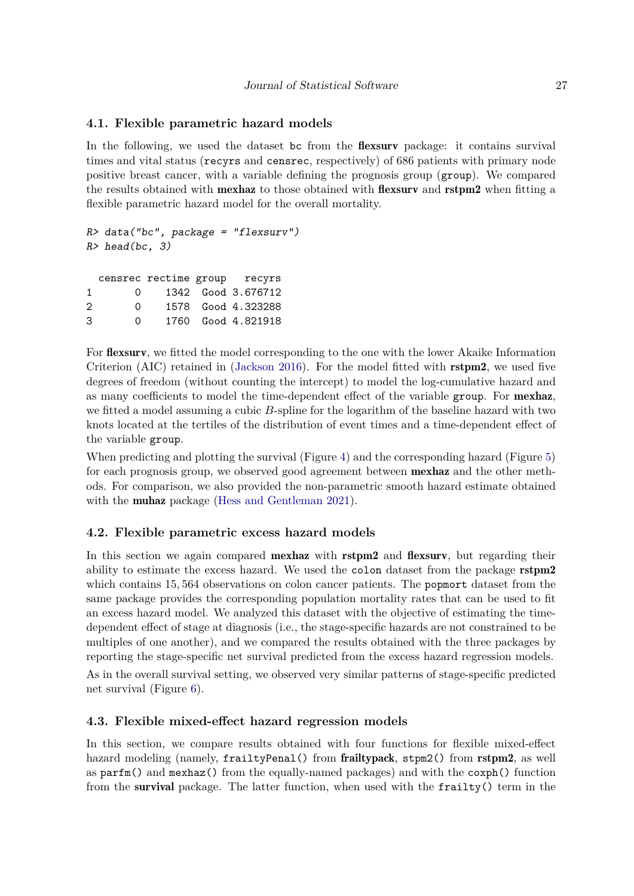## **4.1. Flexible parametric hazard models**

In the following, we used the dataset bc from the **flexsurv** package: it contains survival times and vital status (recyrs and censrec, respectively) of 686 patients with primary node positive breast cancer, with a variable defining the prognosis group (group). We compared the results obtained with mexhaz to those obtained with flexsurv and rstpm2 when fitting a flexible parametric hazard model for the overall mortality.

```
R> data("bc", package = "flexsurv")
R > head(bc, 3)censrec rectime group recyrs
1 0 1342 Good 3.676712
2 0 1578 Good 4.323288
3 0 1760 Good 4.821918
```
For flexsurv, we fitted the model corresponding to the one with the lower Akaike Information Criterion (AIC) retained in [\(Jackson](#page-32-4) [2016\)](#page-32-4). For the model fitted with rstpm2, we used five degrees of freedom (without counting the intercept) to model the log-cumulative hazard and as many coefficients to model the time-dependent effect of the variable group. For mexhaz, we fitted a model assuming a cubic *B*-spline for the logarithm of the baseline hazard with two knots located at the tertiles of the distribution of event times and a time-dependent effect of the variable group.

When predicting and plotting the survival (Figure [4\)](#page-27-0) and the corresponding hazard (Figure [5\)](#page-27-1) for each prognosis group, we observed good agreement between mexhaz and the other methods. For comparison, we also provided the non-parametric smooth hazard estimate obtained with the muhaz package [\(Hess and Gentleman](#page-32-10) [2021\)](#page-32-10).

## **4.2. Flexible parametric excess hazard models**

In this section we again compared **mexhaz** with **rstpm2** and **flexsurv**, but regarding their ability to estimate the excess hazard. We used the colon dataset from the package **rstpm2** which contains 15*,* 564 observations on colon cancer patients. The popmort dataset from the same package provides the corresponding population mortality rates that can be used to fit an excess hazard model. We analyzed this dataset with the objective of estimating the timedependent effect of stage at diagnosis (i.e., the stage-specific hazards are not constrained to be multiples of one another), and we compared the results obtained with the three packages by reporting the stage-specific net survival predicted from the excess hazard regression models.

As in the overall survival setting, we observed very similar patterns of stage-specific predicted net survival (Figure [6\)](#page-28-0).

## **4.3. Flexible mixed-effect hazard regression models**

In this section, we compare results obtained with four functions for flexible mixed-effect hazard modeling (namely, frailtyPenal() from frailtypack, stpm2() from rstpm2, as well as parfm() and mexhaz() from the equally-named packages) and with the coxph() function from the survival package. The latter function, when used with the frailty() term in the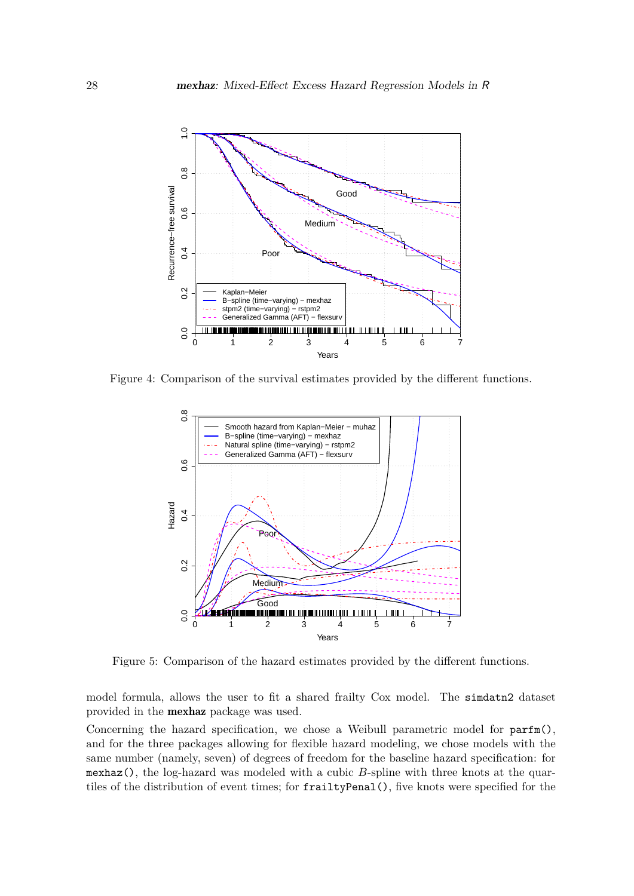

Figure 4: Comparison of the survival estimates provided by the different functions.

<span id="page-27-0"></span>

<span id="page-27-1"></span>Figure 5: Comparison of the hazard estimates provided by the different functions.

model formula, allows the user to fit a shared frailty Cox model. The simdatn2 dataset provided in the mexhaz package was used.

Concerning the hazard specification, we chose a Weibull parametric model for parfm(), and for the three packages allowing for flexible hazard modeling, we chose models with the same number (namely, seven) of degrees of freedom for the baseline hazard specification: for mexhaz(), the log-hazard was modeled with a cubic *B*-spline with three knots at the quartiles of the distribution of event times; for frailtyPenal(), five knots were specified for the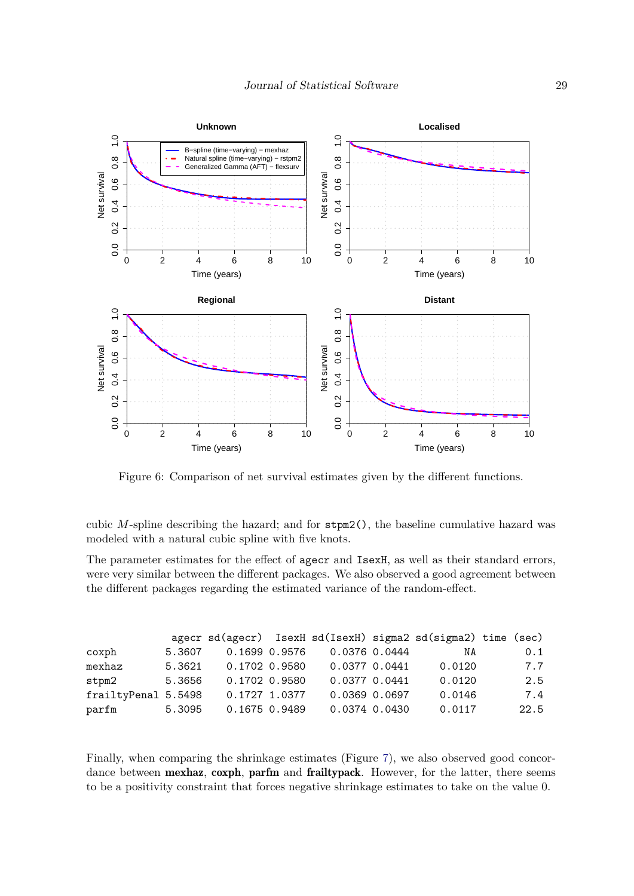

<span id="page-28-0"></span>Figure 6: Comparison of net survival estimates given by the different functions.

cubic *M*-spline describing the hazard; and for stpm2(), the baseline cumulative hazard was modeled with a natural cubic spline with five knots.

The parameter estimates for the effect of agecr and IsexH, as well as their standard errors, were very similar between the different packages. We also observed a good agreement between the different packages regarding the estimated variance of the random-effect.

|                     |        |               |               | agecr sd(agecr) IsexH sd(IsexH) sigma2 sd(sigma2) time (sec) |      |
|---------------------|--------|---------------|---------------|--------------------------------------------------------------|------|
| coxph               | 5.3607 | 0.1699 0.9576 | 0.0376 0.0444 | NA                                                           | 0.1  |
| mexhaz              | 5.3621 | 0.1702 0.9580 | 0.0377 0.0441 | 0.0120                                                       | 7.7  |
| stpm2               | 5.3656 | 0.1702 0.9580 | 0.0377 0.0441 | 0.0120                                                       | 2.5  |
| frailtyPenal 5.5498 |        | 0.1727 1.0377 | 0.0369 0.0697 | 0.0146                                                       | 7.4  |
| parfm               | 5.3095 | 0.1675 0.9489 | 0.0374 0.0430 | 0.0117                                                       | 22.5 |

Finally, when comparing the shrinkage estimates (Figure [7\)](#page-29-0), we also observed good concordance between mexhaz, coxph, parfm and frailtypack. However, for the latter, there seems to be a positivity constraint that forces negative shrinkage estimates to take on the value 0.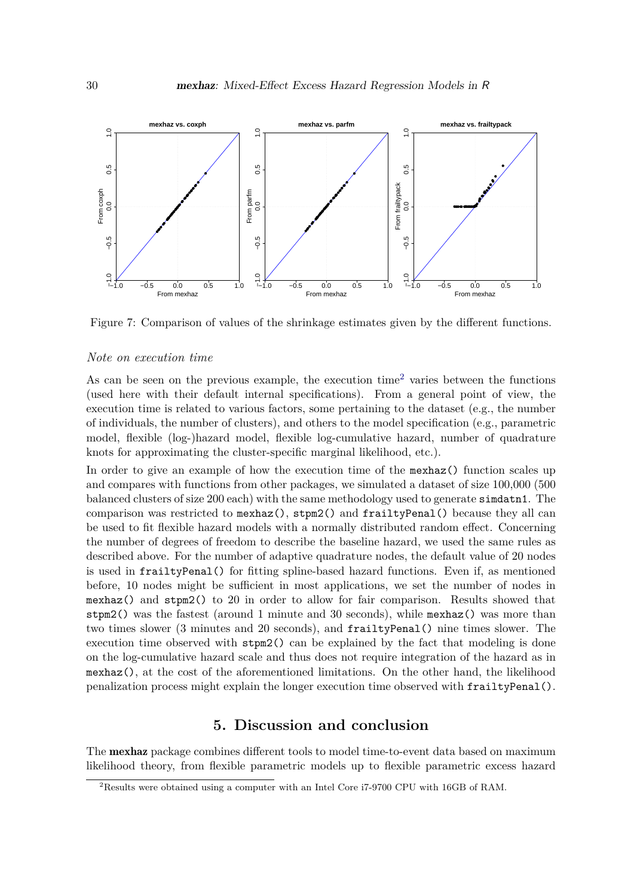

<span id="page-29-0"></span>Figure 7: Comparison of values of the shrinkage estimates given by the different functions.

#### *Note on execution time*

As can be seen on the previous example, the execution time<sup>[2](#page-29-1)</sup> varies between the functions (used here with their default internal specifications). From a general point of view, the execution time is related to various factors, some pertaining to the dataset (e.g., the number of individuals, the number of clusters), and others to the model specification (e.g., parametric model, flexible (log-)hazard model, flexible log-cumulative hazard, number of quadrature knots for approximating the cluster-specific marginal likelihood, etc.).

In order to give an example of how the execution time of the mexhaz() function scales up and compares with functions from other packages, we simulated a dataset of size 100,000 (500 balanced clusters of size 200 each) with the same methodology used to generate simdatn1. The comparison was restricted to mexhaz(), stpm2() and frailtyPenal() because they all can be used to fit flexible hazard models with a normally distributed random effect. Concerning the number of degrees of freedom to describe the baseline hazard, we used the same rules as described above. For the number of adaptive quadrature nodes, the default value of 20 nodes is used in frailtyPenal() for fitting spline-based hazard functions. Even if, as mentioned before, 10 nodes might be sufficient in most applications, we set the number of nodes in mexhaz() and stpm2() to 20 in order to allow for fair comparison. Results showed that stpm2() was the fastest (around 1 minute and 30 seconds), while mexhaz() was more than two times slower (3 minutes and 20 seconds), and frailtyPenal() nine times slower. The execution time observed with  $\text{stpm2}()$  can be explained by the fact that modeling is done on the log-cumulative hazard scale and thus does not require integration of the hazard as in mexhaz(), at the cost of the aforementioned limitations. On the other hand, the likelihood penalization process might explain the longer execution time observed with frailtyPenal().

## **5. Discussion and conclusion**

The mexhaz package combines different tools to model time-to-event data based on maximum likelihood theory, from flexible parametric models up to flexible parametric excess hazard

<span id="page-29-1"></span><sup>2</sup>Results were obtained using a computer with an Intel Core i7-9700 CPU with 16GB of RAM.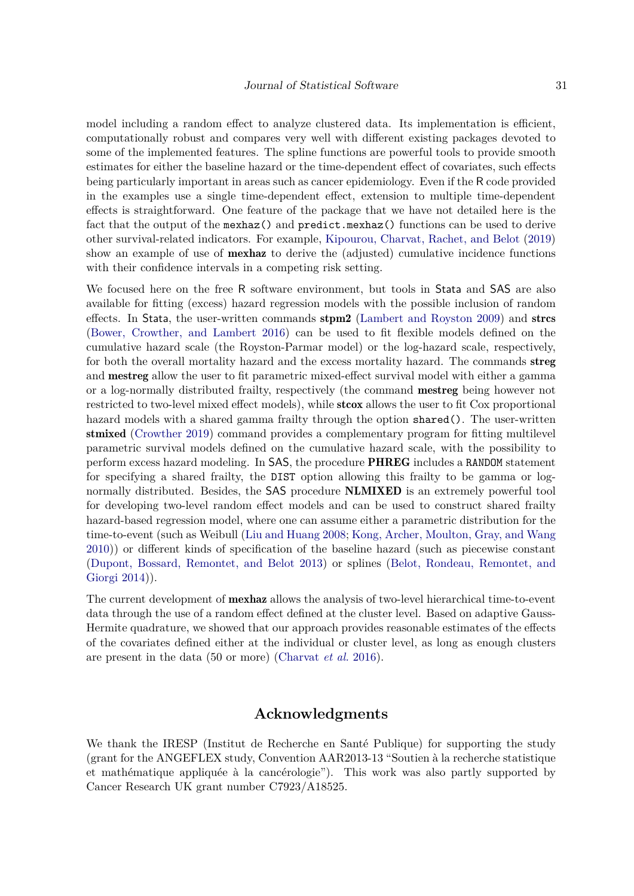model including a random effect to analyze clustered data. Its implementation is efficient, computationally robust and compares very well with different existing packages devoted to some of the implemented features. The spline functions are powerful tools to provide smooth estimates for either the baseline hazard or the time-dependent effect of covariates, such effects being particularly important in areas such as cancer epidemiology. Even if the R code provided in the examples use a single time-dependent effect, extension to multiple time-dependent effects is straightforward. One feature of the package that we have not detailed here is the fact that the output of the mexhaz() and predict.mexhaz() functions can be used to derive other survival-related indicators. For example, [Kipourou, Charvat, Rachet, and Belot](#page-32-11) [\(2019\)](#page-32-11) show an example of use of mexhaz to derive the (adjusted) cumulative incidence functions with their confidence intervals in a competing risk setting.

We focused here on the free R software environment, but tools in Stata and SAS are also available for fitting (excess) hazard regression models with the possible inclusion of random effects. In Stata, the user-written commands  $\text{stpm2}$  [\(Lambert and Royston](#page-33-13) [2009\)](#page-33-13) and  $\text{stres}$ [\(Bower, Crowther, and Lambert](#page-31-10) [2016\)](#page-31-10) can be used to fit flexible models defined on the cumulative hazard scale (the Royston-Parmar model) or the log-hazard scale, respectively, for both the overall mortality hazard and the excess mortality hazard. The commands streg and mestreg allow the user to fit parametric mixed-effect survival model with either a gamma or a log-normally distributed frailty, respectively (the command mestreg being however not restricted to two-level mixed effect models), while **stcox** allows the user to fit Cox proportional hazard models with a shared gamma frailty through the option shared(). The user-written stmixed [\(Crowther](#page-32-12) [2019\)](#page-32-12) command provides a complementary program for fitting multilevel parametric survival models defined on the cumulative hazard scale, with the possibility to perform excess hazard modeling. In SAS, the procedure PHREG includes a RANDOM statement for specifying a shared frailty, the DIST option allowing this frailty to be gamma or lognormally distributed. Besides, the SAS procedure **NLMIXED** is an extremely powerful tool for developing two-level random effect models and can be used to construct shared frailty hazard-based regression model, where one can assume either a parametric distribution for the time-to-event (such as Weibull [\(Liu and Huang](#page-33-14) [2008;](#page-33-14) [Kong, Archer, Moulton, Gray, and Wang](#page-32-13) [2010\)](#page-32-13)) or different kinds of specification of the baseline hazard (such as piecewise constant [\(Dupont, Bossard, Remontet, and Belot](#page-32-14) [2013\)](#page-32-14) or splines [\(Belot, Rondeau, Remontet, and](#page-31-11) [Giorgi](#page-31-11) [2014\)](#page-31-11)).

The current development of mexhaz allows the analysis of two-level hierarchical time-to-event data through the use of a random effect defined at the cluster level. Based on adaptive Gauss-Hermite quadrature, we showed that our approach provides reasonable estimates of the effects of the covariates defined either at the individual or cluster level, as long as enough clusters are present in the data (50 or more) [\(Charvat](#page-31-9) *et al.* [2016\)](#page-31-9).

#### **Acknowledgments**

We thank the IRESP (Institut de Recherche en Santé Publique) for supporting the study (grant for the ANGEFLEX study, Convention AAR2013-13 "Soutien à la recherche statistique et mathématique appliquée à la cancérologie"). This work was also partly supported by Cancer Research UK grant number C7923/A18525.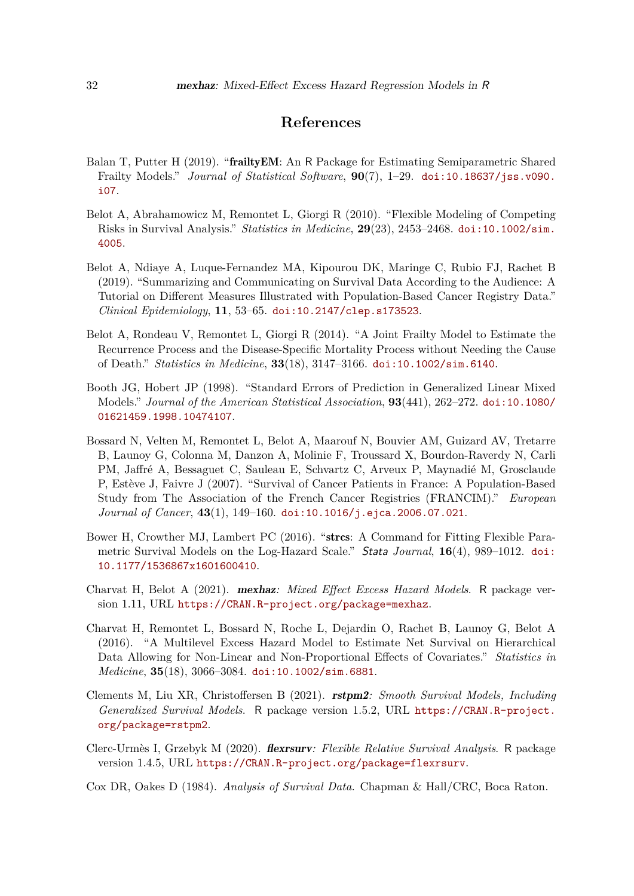## **References**

- <span id="page-31-5"></span>Balan T, Putter H (2019). "frailtyEM: An R Package for Estimating Semiparametric Shared Frailty Models." *Journal of Statistical Software*, **90**(7), 1–29. [doi:10.18637/jss.v090.](https://doi.org/10.18637/jss.v090.i07) [i07](https://doi.org/10.18637/jss.v090.i07).
- <span id="page-31-1"></span>Belot A, Abrahamowicz M, Remontet L, Giorgi R (2010). "Flexible Modeling of Competing Risks in Survival Analysis." *Statistics in Medicine*, **29**(23), 2453–2468. [doi:10.1002/sim.](https://doi.org/10.1002/sim.4005) [4005](https://doi.org/10.1002/sim.4005).
- <span id="page-31-2"></span>Belot A, Ndiaye A, Luque-Fernandez MA, Kipourou DK, Maringe C, Rubio FJ, Rachet B (2019). "Summarizing and Communicating on Survival Data According to the Audience: A Tutorial on Different Measures Illustrated with Population-Based Cancer Registry Data." *Clinical Epidemiology*, **11**, 53–65. [doi:10.2147/clep.s173523](https://doi.org/10.2147/clep.s173523).
- <span id="page-31-11"></span>Belot A, Rondeau V, Remontet L, Giorgi R (2014). "A Joint Frailty Model to Estimate the Recurrence Process and the Disease-Specific Mortality Process without Needing the Cause of Death." *Statistics in Medicine*, **33**(18), 3147–3166. [doi:10.1002/sim.6140](https://doi.org/10.1002/sim.6140).
- <span id="page-31-8"></span>Booth JG, Hobert JP (1998). "Standard Errors of Prediction in Generalized Linear Mixed Models." *Journal of the American Statistical Association*, **93**(441), 262–272. [doi:10.1080/](https://doi.org/10.1080/01621459.1998.10474107) [01621459.1998.10474107](https://doi.org/10.1080/01621459.1998.10474107).
- <span id="page-31-0"></span>Bossard N, Velten M, Remontet L, Belot A, Maarouf N, Bouvier AM, Guizard AV, Tretarre B, Launoy G, Colonna M, Danzon A, Molinie F, Troussard X, Bourdon-Raverdy N, Carli PM, Jaffré A, Bessaguet C, Sauleau E, Schvartz C, Arveux P, Maynadié M, Grosclaude P, Estève J, Faivre J (2007). "Survival of Cancer Patients in France: A Population-Based Study from The Association of the French Cancer Registries (FRANCIM)." *European Journal of Cancer*, **43**(1), 149–160. [doi:10.1016/j.ejca.2006.07.021](https://doi.org/10.1016/j.ejca.2006.07.021).
- <span id="page-31-10"></span>Bower H, Crowther MJ, Lambert PC (2016). "strcs: A Command for Fitting Flexible Parametric Survival Models on the Log-Hazard Scale." Stata *Journal*, **16**(4), 989–1012. [doi:](https://doi.org/10.1177/1536867x1601600410) [10.1177/1536867x1601600410](https://doi.org/10.1177/1536867x1601600410).
- <span id="page-31-6"></span>Charvat H, Belot A (2021). mexhaz*: Mixed Effect Excess Hazard Models*. R package version 1.11, URL <https://CRAN.R-project.org/package=mexhaz>.
- <span id="page-31-9"></span>Charvat H, Remontet L, Bossard N, Roche L, Dejardin O, Rachet B, Launoy G, Belot A (2016). "A Multilevel Excess Hazard Model to Estimate Net Survival on Hierarchical Data Allowing for Non-Linear and Non-Proportional Effects of Covariates." *Statistics in Medicine*, **35**(18), 3066–3084. [doi:10.1002/sim.6881](https://doi.org/10.1002/sim.6881).
- <span id="page-31-4"></span>Clements M, Liu XR, Christoffersen B (2021). rstpm2*: Smooth Survival Models, Including Generalized Survival Models*. R package version 1.5.2, URL [https://CRAN.R-project.](https://CRAN.R-project.org/package=rstpm2) [org/package=rstpm2](https://CRAN.R-project.org/package=rstpm2).
- <span id="page-31-3"></span>Clerc-Urmès I, Grzebyk M (2020). flexrsurv*: Flexible Relative Survival Analysis*. R package version 1.4.5, URL <https://CRAN.R-project.org/package=flexrsurv>.
- <span id="page-31-7"></span>Cox DR, Oakes D (1984). *Analysis of Survival Data*. Chapman & Hall/CRC, Boca Raton.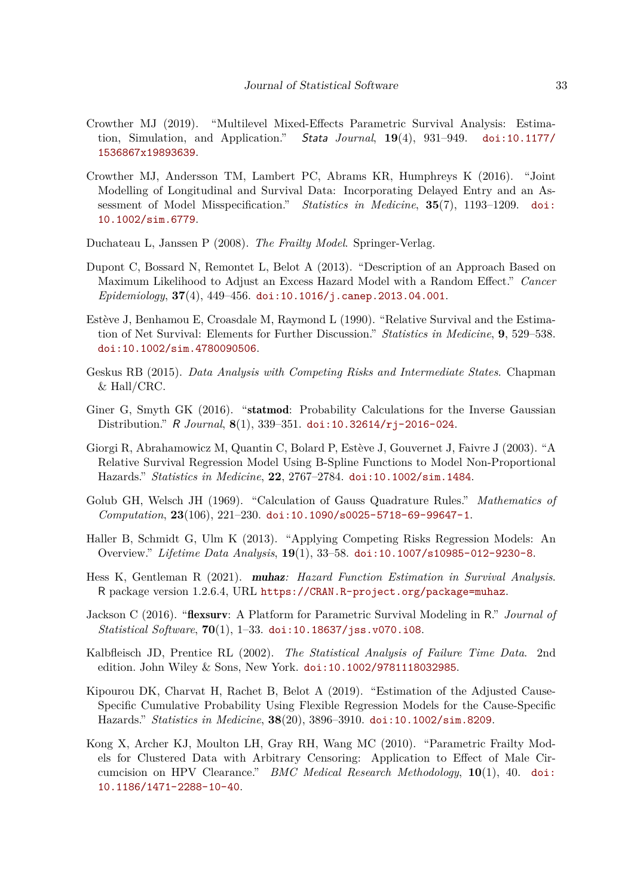- <span id="page-32-12"></span>Crowther MJ (2019). "Multilevel Mixed-Effects Parametric Survival Analysis: Estimation, Simulation, and Application." Stata *Journal*, **19**(4), 931–949. [doi:10.1177/](https://doi.org/10.1177/1536867x19893639) [1536867x19893639](https://doi.org/10.1177/1536867x19893639).
- <span id="page-32-7"></span>Crowther MJ, Andersson TM, Lambert PC, Abrams KR, Humphreys K (2016). "Joint Modelling of Longitudinal and Survival Data: Incorporating Delayed Entry and an Assessment of Model Misspecification." *Statistics in Medicine*, **35**(7), 1193–1209. [doi:](https://doi.org/10.1002/sim.6779) [10.1002/sim.6779](https://doi.org/10.1002/sim.6779).
- <span id="page-32-0"></span>Duchateau L, Janssen P (2008). *The Frailty Model*. Springer-Verlag.
- <span id="page-32-14"></span>Dupont C, Bossard N, Remontet L, Belot A (2013). "Description of an Approach Based on Maximum Likelihood to Adjust an Excess Hazard Model with a Random Effect." *Cancer Epidemiology*, **37**(4), 449–456. [doi:10.1016/j.canep.2013.04.001](https://doi.org/10.1016/j.canep.2013.04.001).
- <span id="page-32-2"></span>Estève J, Benhamou E, Croasdale M, Raymond L (1990). "Relative Survival and the Estimation of Net Survival: Elements for Further Discussion." *Statistics in Medicine*, **9**, 529–538. [doi:10.1002/sim.4780090506](https://doi.org/10.1002/sim.4780090506).
- <span id="page-32-5"></span>Geskus RB (2015). *Data Analysis with Competing Risks and Intermediate States*. Chapman & Hall/CRC.
- <span id="page-32-8"></span>Giner G, Smyth GK (2016). "statmod: Probability Calculations for the Inverse Gaussian Distribution." R *Journal*, **8**(1), 339–351. [doi:10.32614/rj-2016-024](https://doi.org/10.32614/rj-2016-024).
- <span id="page-32-3"></span>Giorgi R, Abrahamowicz M, Quantin C, Bolard P, Estève J, Gouvernet J, Faivre J (2003). "A Relative Survival Regression Model Using B-Spline Functions to Model Non-Proportional Hazards." *Statistics in Medicine*, **22**, 2767–2784. [doi:10.1002/sim.1484](https://doi.org/10.1002/sim.1484).
- <span id="page-32-9"></span>Golub GH, Welsch JH (1969). "Calculation of Gauss Quadrature Rules." *Mathematics of Computation*, **23**(106), 221–230. [doi:10.1090/s0025-5718-69-99647-1](https://doi.org/10.1090/s0025-5718-69-99647-1).
- <span id="page-32-1"></span>Haller B, Schmidt G, Ulm K (2013). "Applying Competing Risks Regression Models: An Overview." *Lifetime Data Analysis*, **19**(1), 33–58. [doi:10.1007/s10985-012-9230-8](https://doi.org/10.1007/s10985-012-9230-8).
- <span id="page-32-10"></span>Hess K, Gentleman R (2021). muhaz*: Hazard Function Estimation in Survival Analysis*. R package version 1.2.6.4, URL <https://CRAN.R-project.org/package=muhaz>.
- <span id="page-32-4"></span>Jackson C (2016). "flexsurv: A Platform for Parametric Survival Modeling in R." *Journal of Statistical Software*, **70**(1), 1–33. [doi:10.18637/jss.v070.i08](https://doi.org/10.18637/jss.v070.i08).
- <span id="page-32-6"></span>Kalbfleisch JD, Prentice RL (2002). *The Statistical Analysis of Failure Time Data*. 2nd edition. John Wiley & Sons, New York. [doi:10.1002/9781118032985](https://doi.org/10.1002/9781118032985).
- <span id="page-32-11"></span>Kipourou DK, Charvat H, Rachet B, Belot A (2019). "Estimation of the Adjusted Cause-Specific Cumulative Probability Using Flexible Regression Models for the Cause-Specific Hazards." *Statistics in Medicine*, **38**(20), 3896–3910. [doi:10.1002/sim.8209](https://doi.org/10.1002/sim.8209).
- <span id="page-32-13"></span>Kong X, Archer KJ, Moulton LH, Gray RH, Wang MC (2010). "Parametric Frailty Models for Clustered Data with Arbitrary Censoring: Application to Effect of Male Circumcision on HPV Clearance." *BMC Medical Research Methodology*, **10**(1), 40. [doi:](https://doi.org/10.1186/1471-2288-10-40) [10.1186/1471-2288-10-40](https://doi.org/10.1186/1471-2288-10-40).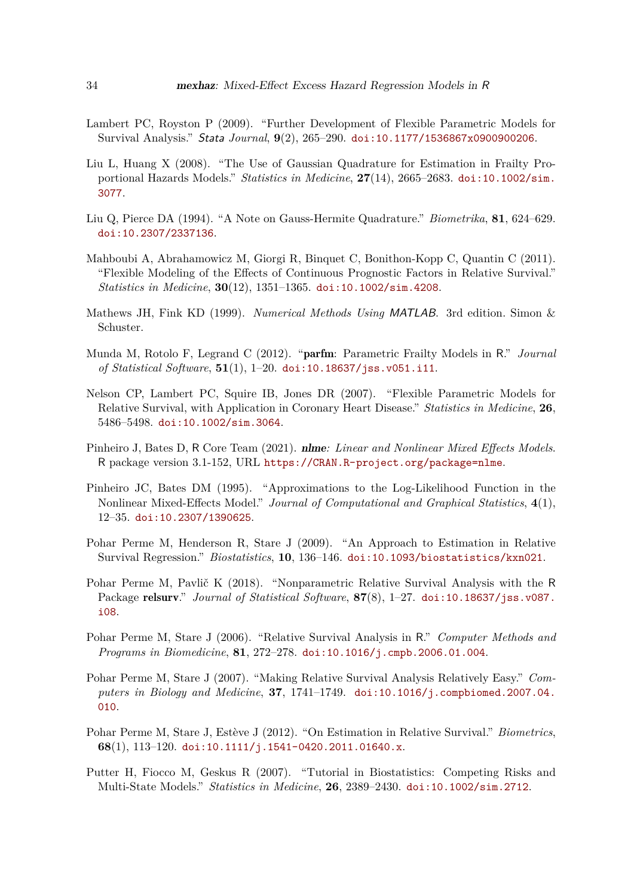- <span id="page-33-13"></span>Lambert PC, Royston P (2009). "Further Development of Flexible Parametric Models for Survival Analysis." Stata *Journal*, **9**(2), 265–290. [doi:10.1177/1536867x0900900206](https://doi.org/10.1177/1536867x0900900206).
- <span id="page-33-14"></span>Liu L, Huang X (2008). "The Use of Gaussian Quadrature for Estimation in Frailty Proportional Hazards Models." *Statistics in Medicine*, **27**(14), 2665–2683. [doi:10.1002/sim.](https://doi.org/10.1002/sim.3077) [3077](https://doi.org/10.1002/sim.3077).
- <span id="page-33-10"></span>Liu Q, Pierce DA (1994). "A Note on Gauss-Hermite Quadrature." *Biometrika*, **81**, 624–629. [doi:10.2307/2337136](https://doi.org/10.2307/2337136).
- <span id="page-33-3"></span>Mahboubi A, Abrahamowicz M, Giorgi R, Binquet C, Bonithon-Kopp C, Quantin C (2011). "Flexible Modeling of the Effects of Continuous Prognostic Factors in Relative Survival." *Statistics in Medicine*, **30**(12), 1351–1365. [doi:10.1002/sim.4208](https://doi.org/10.1002/sim.4208).
- <span id="page-33-9"></span>Mathews JH, Fink KD (1999). *Numerical Methods Using* MATLAB. 3rd edition. Simon & Schuster.
- <span id="page-33-8"></span>Munda M, Rotolo F, Legrand C (2012). "parfm: Parametric Frailty Models in R." *Journal of Statistical Software*, **51**(1), 1–20. [doi:10.18637/jss.v051.i11](https://doi.org/10.18637/jss.v051.i11).
- <span id="page-33-1"></span>Nelson CP, Lambert PC, Squire IB, Jones DR (2007). "Flexible Parametric Models for Relative Survival, with Application in Coronary Heart Disease." *Statistics in Medicine*, **26**, 5486–5498. [doi:10.1002/sim.3064](https://doi.org/10.1002/sim.3064).
- <span id="page-33-12"></span>Pinheiro J, Bates D, R Core Team (2021). nlme*: Linear and Nonlinear Mixed Effects Models*. R package version 3.1-152, URL <https://CRAN.R-project.org/package=nlme>.
- <span id="page-33-11"></span>Pinheiro JC, Bates DM (1995). "Approximations to the Log-Likelihood Function in the Nonlinear Mixed-Effects Model." *Journal of Computational and Graphical Statistics*, **4**(1), 12–35. [doi:10.2307/1390625](https://doi.org/10.2307/1390625).
- <span id="page-33-7"></span>Pohar Perme M, Henderson R, Stare J (2009). "An Approach to Estimation in Relative Survival Regression." *Biostatistics*, **10**, 136–146. [doi:10.1093/biostatistics/kxn021](https://doi.org/10.1093/biostatistics/kxn021).
- <span id="page-33-4"></span>Pohar Perme M, Pavlič K (2018). "Nonparametric Relative Survival Analysis with the R Package relsurv." *Journal of Statistical Software*, **87**(8), 1–27. [doi:10.18637/jss.v087.](https://doi.org/10.18637/jss.v087.i08) [i08](https://doi.org/10.18637/jss.v087.i08).
- <span id="page-33-5"></span>Pohar Perme M, Stare J (2006). "Relative Survival Analysis in R." *Computer Methods and Programs in Biomedicine*, **81**, 272–278. [doi:10.1016/j.cmpb.2006.01.004](https://doi.org/10.1016/j.cmpb.2006.01.004).
- <span id="page-33-6"></span>Pohar Perme M, Stare J (2007). "Making Relative Survival Analysis Relatively Easy." *Computers in Biology and Medicine*, **37**, 1741–1749. [doi:10.1016/j.compbiomed.2007.04.](https://doi.org/10.1016/j.compbiomed.2007.04.010) [010](https://doi.org/10.1016/j.compbiomed.2007.04.010).
- <span id="page-33-2"></span>Pohar Perme M, Stare J, Estève J (2012). "On Estimation in Relative Survival." *Biometrics*, **68**(1), 113–120. [doi:10.1111/j.1541-0420.2011.01640.x](https://doi.org/10.1111/j.1541-0420.2011.01640.x).
- <span id="page-33-0"></span>Putter H, Fiocco M, Geskus R (2007). "Tutorial in Biostatistics: Competing Risks and Multi-State Models." *Statistics in Medicine*, **26**, 2389–2430. [doi:10.1002/sim.2712](https://doi.org/10.1002/sim.2712).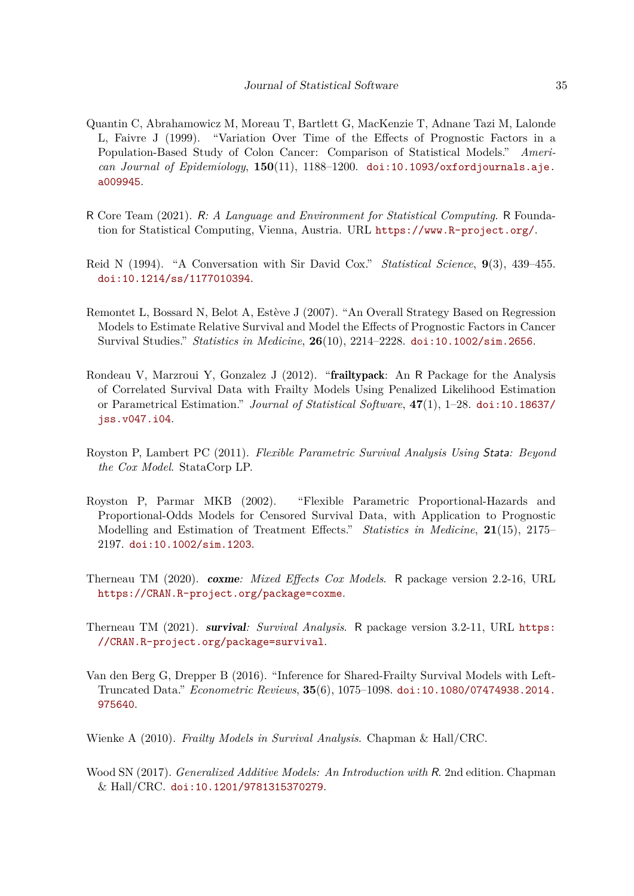- <span id="page-34-1"></span>Quantin C, Abrahamowicz M, Moreau T, Bartlett G, MacKenzie T, Adnane Tazi M, Lalonde L, Faivre J (1999). "Variation Over Time of the Effects of Prognostic Factors in a Population-Based Study of Colon Cancer: Comparison of Statistical Models." *American Journal of Epidemiology*, **150**(11), 1188–1200. [doi:10.1093/oxfordjournals.aje.](https://doi.org/10.1093/oxfordjournals.aje.a009945) [a009945](https://doi.org/10.1093/oxfordjournals.aje.a009945).
- <span id="page-34-4"></span>R Core Team (2021). R*: A Language and Environment for Statistical Computing*. R Foundation for Statistical Computing, Vienna, Austria. URL <https://www.R-project.org/>.
- <span id="page-34-0"></span>Reid N (1994). "A Conversation with Sir David Cox." *Statistical Science*, **9**(3), 439–455. [doi:10.1214/ss/1177010394](https://doi.org/10.1214/ss/1177010394).
- <span id="page-34-3"></span>Remontet L, Bossard N, Belot A, Estève J (2007). "An Overall Strategy Based on Regression Models to Estimate Relative Survival and Model the Effects of Prognostic Factors in Cancer Survival Studies." *Statistics in Medicine*, **26**(10), 2214–2228. [doi:10.1002/sim.2656](https://doi.org/10.1002/sim.2656).
- <span id="page-34-6"></span>Rondeau V, Marzroui Y, Gonzalez J (2012). "frailtypack: An R Package for the Analysis of Correlated Survival Data with Frailty Models Using Penalized Likelihood Estimation or Parametrical Estimation." *Journal of Statistical Software*, **47**(1), 1–28. [doi:10.18637/](https://doi.org/10.18637/jss.v047.i04) [jss.v047.i04](https://doi.org/10.18637/jss.v047.i04).
- <span id="page-34-9"></span>Royston P, Lambert PC (2011). *Flexible Parametric Survival Analysis Using* Stata*: Beyond the Cox Model*. StataCorp LP.
- <span id="page-34-5"></span>Royston P, Parmar MKB (2002). "Flexible Parametric Proportional-Hazards and Proportional-Odds Models for Censored Survival Data, with Application to Prognostic Modelling and Estimation of Treatment Effects." *Statistics in Medicine*, **21**(15), 2175– 2197. [doi:10.1002/sim.1203](https://doi.org/10.1002/sim.1203).
- <span id="page-34-8"></span>Therneau TM (2020). coxme*: Mixed Effects Cox Models*. R package version 2.2-16, URL <https://CRAN.R-project.org/package=coxme>.
- <span id="page-34-7"></span>Therneau TM (2021). survival*: Survival Analysis*. R package version 3.2-11, URL [https:](https://CRAN.R-project.org/package=survival) [//CRAN.R-project.org/package=survival](https://CRAN.R-project.org/package=survival).
- <span id="page-34-10"></span>Van den Berg G, Drepper B (2016). "Inference for Shared-Frailty Survival Models with Left-Truncated Data." *Econometric Reviews*, **35**(6), 1075–1098. [doi:10.1080/07474938.2014.](https://doi.org/10.1080/07474938.2014.975640) [975640](https://doi.org/10.1080/07474938.2014.975640).
- <span id="page-34-2"></span>Wienke A (2010). *Frailty Models in Survival Analysis*. Chapman & Hall/CRC.
- <span id="page-34-11"></span>Wood SN (2017). *Generalized Additive Models: An Introduction with* R. 2nd edition. Chapman & Hall/CRC. [doi:10.1201/9781315370279](https://doi.org/10.1201/9781315370279).